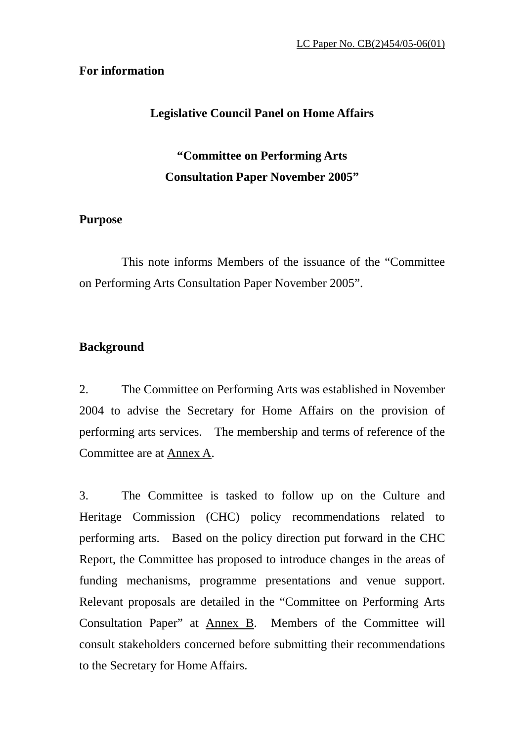#### **For information**

#### **Legislative Council Panel on Home Affairs**

# **"Committee on Performing Arts Consultation Paper November 2005"**

#### **Purpose**

 This note informs Members of the issuance of the "Committee on Performing Arts Consultation Paper November 2005".

#### **Background**

2. The Committee on Performing Arts was established in November 2004 to advise the Secretary for Home Affairs on the provision of performing arts services. The membership and terms of reference of the Committee are at Annex A.

3. The Committee is tasked to follow up on the Culture and Heritage Commission (CHC) policy recommendations related to performing arts. Based on the policy direction put forward in the CHC Report, the Committee has proposed to introduce changes in the areas of funding mechanisms, programme presentations and venue support. Relevant proposals are detailed in the "Committee on Performing Arts Consultation Paper" at Annex B. Members of the Committee will consult stakeholders concerned before submitting their recommendations to the Secretary for Home Affairs.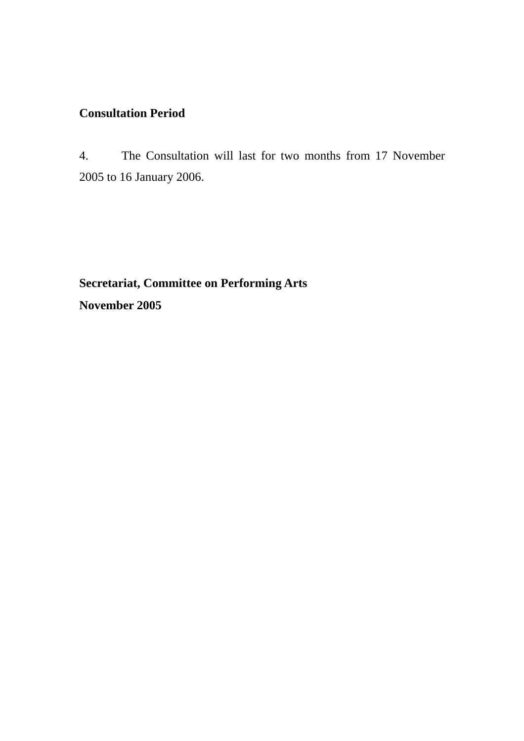# **Consultation Period**

4. The Consultation will last for two months from 17 November 2005 to 16 January 2006.

**Secretariat, Committee on Performing Arts November 2005**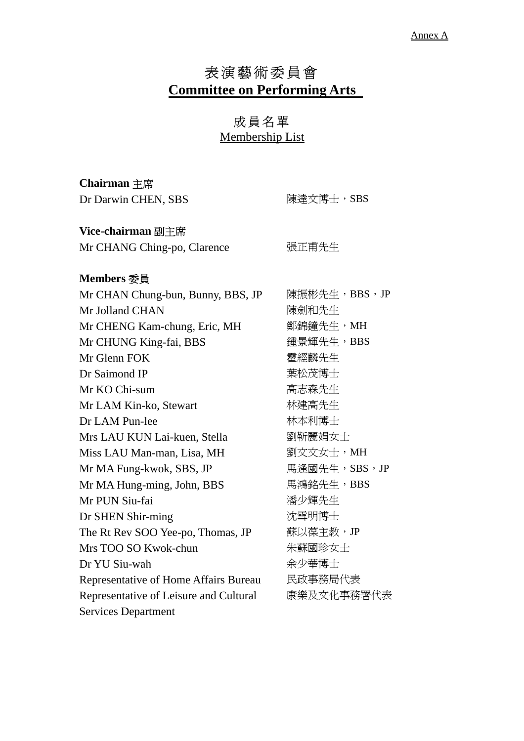# 表演藝術委員會 **Committee on Performing Arts**

# 成員名單

Membership List

**Chairman** 主席 Dr Darwin CHEN, CDC <br> **Example 2018** 

| Dr Darwin CHEN, SBS                          | 陳達乂  导工,) DD)  |
|----------------------------------------------|----------------|
| Vice-chairman 副主席                            |                |
| Mr CHANG Ching-po, Clarence                  | 張正甫先生          |
| Members 委員                                   |                |
| Mr CHAN Chung-bun, Bunny, BBS, JP            | 陳振彬先生,BBS,JP   |
| Mr Jolland CHAN                              | 陳劍和先生          |
| Mr CHENG Kam-chung, Eric, MH                 | 鄭錦鐘先生,MH       |
| Mr CHUNG King-fai, BBS                       | 鍾景輝先生,BBS      |
| Mr Glenn FOK                                 | 霍經麟先生          |
| Dr Saimond IP                                | 葉松茂博士          |
| Mr KO Chi-sum                                | 高志森先生          |
| Mr LAM Kin-ko, Stewart                       | 林建高先生          |
| Dr LAM Pun-lee                               | 林本利博士          |
| Mrs LAU KUN Lai-kuen, Stella                 | 劉靳麗娟女士         |
| Miss LAU Man-man, Lisa, MH                   | 劉文文女士,MH       |
| Mr MA Fung-kwok, SBS, JP                     | 馬逢國先生, SBS, JP |
| Mr MA Hung-ming, John, BBS                   | 馬鴻銘先生,BBS      |
| Mr PUN Siu-fai                               | 潘少輝先生          |
| Dr SHEN Shir-ming                            | 沈雪明博士          |
| The Rt Rev SOO Yee-po, Thomas, JP            | 蘇以葆主教, JP      |
| Mrs TOO SO Kwok-chun                         | 朱蘇國珍女士         |
| Dr YU Siu-wah                                | 余少華博士          |
| <b>Representative of Home Affairs Bureau</b> | 民政事務局代表        |
| Representative of Leisure and Cultural       | 康樂及文化事務署代表     |
| <b>Services Department</b>                   |                |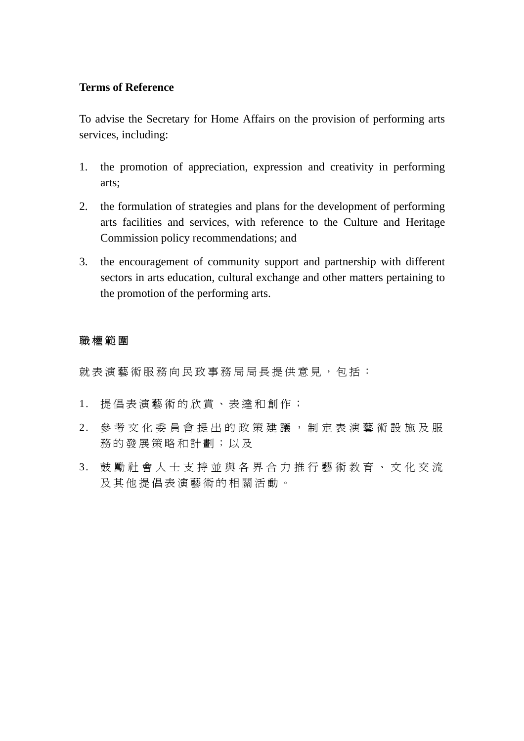#### **Terms of Reference**

To advise the Secretary for Home Affairs on the provision of performing arts services, including:

- 1. the promotion of appreciation, expression and creativity in performing arts;
- 2. the formulation of strategies and plans for the development of performing arts facilities and services, with reference to the Culture and Heritage Commission policy recommendations; and
- 3. the encouragement of community support and partnership with different sectors in arts education, cultural exchange and other matters pertaining to the promotion of the performing arts.

#### 職權範圍

就表演藝術服務向民政事務局局長提供意見,包括:

- 1. 提倡表演藝術的欣賞、表達和創作;
- 2. 參考文化委員會提出的政策建議, 制定表演藝術設施及服 務的發展策略和計劃;以及
- 3. 鼓勵社會人士支持並與各界合力推 行藝術教育、文化交流 及其他提倡表演藝術的相關活動。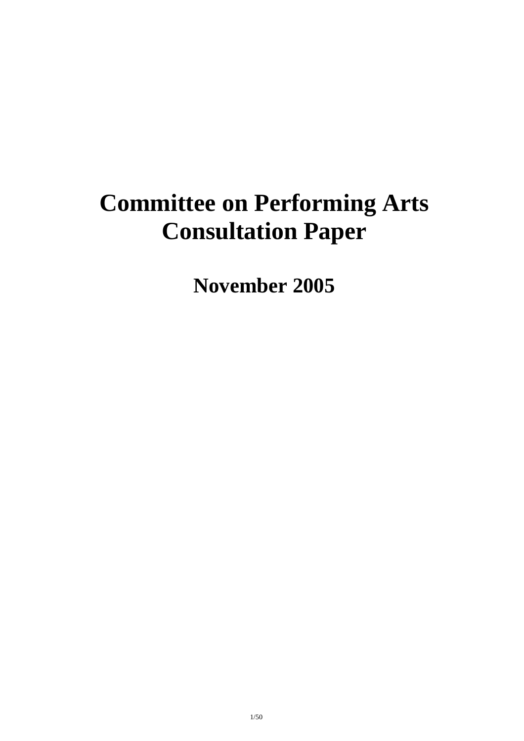# **Committee on Performing Arts Consultation Paper**

**November 2005**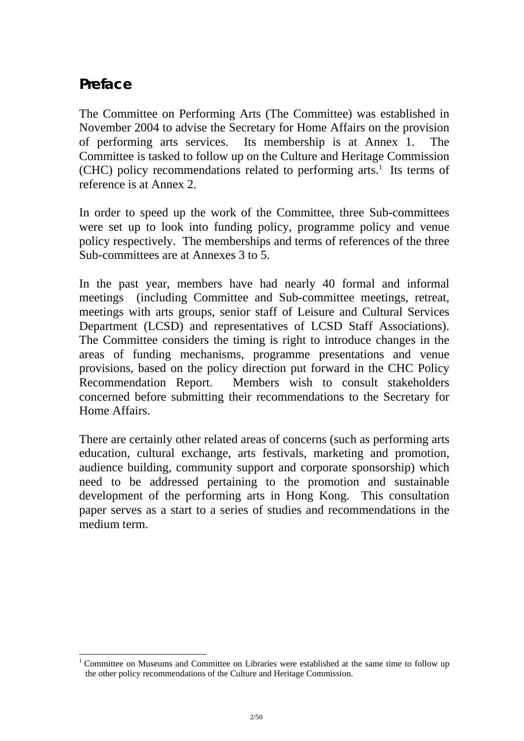# **Preface**

l

The Committee on Performing Arts (The Committee) was established in November 2004 to advise the Secretary for Home Affairs on the provision of performing arts services. Its membership is at Annex 1. The Committee is tasked to follow up on the Culture and Heritage Commission  $(CHC)$  policy recommendations related to performing arts.<sup>1</sup> Its terms of reference is at Annex 2.

In order to speed up the work of the Committee, three Sub-committees were set up to look into funding policy, programme policy and venue policy respectively. The memberships and terms of references of the three Sub-committees are at Annexes 3 to 5.

In the past year, members have had nearly 40 formal and informal meetings (including Committee and Sub-committee meetings, retreat, meetings with arts groups, senior staff of Leisure and Cultural Services Department (LCSD) and representatives of LCSD Staff Associations). The Committee considers the timing is right to introduce changes in the areas of funding mechanisms, programme presentations and venue provisions, based on the policy direction put forward in the CHC Policy Recommendation Report. Members wish to consult stakeholders concerned before submitting their recommendations to the Secretary for Home Affairs.

There are certainly other related areas of concerns (such as performing arts education, cultural exchange, arts festivals, marketing and promotion, audience building, community support and corporate sponsorship) which need to be addressed pertaining to the promotion and sustainable development of the performing arts in Hong Kong. This consultation paper serves as a start to a series of studies and recommendations in the medium term.

<sup>&</sup>lt;sup>1</sup> Committee on Museums and Committee on Libraries were established at the same time to follow up the other policy recommendations of the Culture and Heritage Commission.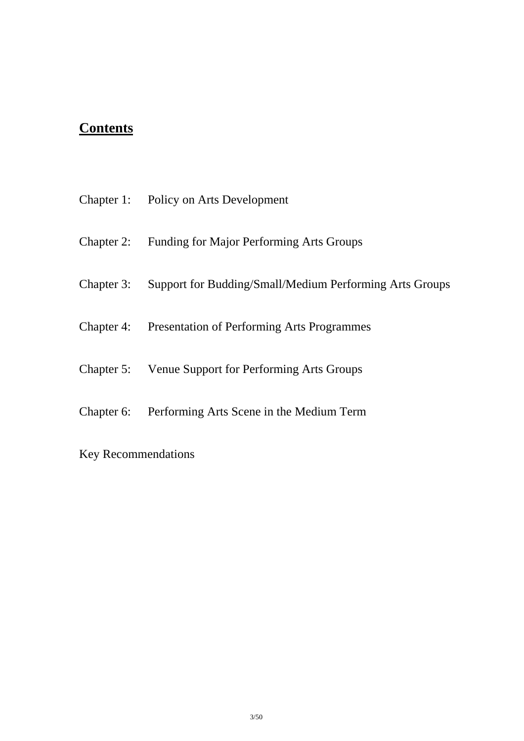# **Contents**

|            | Chapter 1: Policy on Arts Development                        |
|------------|--------------------------------------------------------------|
|            | Chapter 2: Funding for Major Performing Arts Groups          |
| Chapter 3: | Support for Budding/Small/Medium Performing Arts Groups      |
|            | <b>Chapter 4:</b> Presentation of Performing Arts Programmes |
|            | Chapter 5: Venue Support for Performing Arts Groups          |
|            | Chapter 6: Performing Arts Scene in the Medium Term          |

Key Recommendations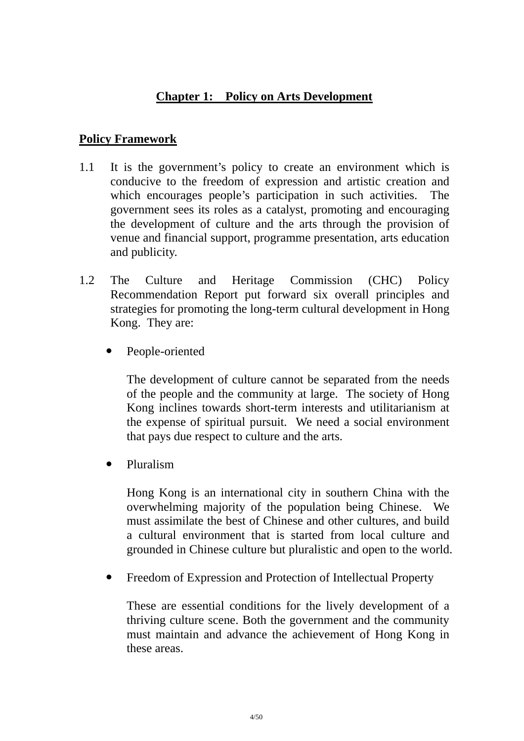# **Chapter 1: Policy on Arts Development**

#### **Policy Framework**

- 1.1 It is the government's policy to create an environment which is conducive to the freedom of expression and artistic creation and which encourages people's participation in such activities. The government sees its roles as a catalyst, promoting and encouraging the development of culture and the arts through the provision of venue and financial support, programme presentation, arts education and publicity.
- 1.2 The Culture and Heritage Commission (CHC) Policy Recommendation Report put forward six overall principles and strategies for promoting the long-term cultural development in Hong Kong. They are:
	- People-oriented

The development of culture cannot be separated from the needs of the people and the community at large. The society of Hong Kong inclines towards short-term interests and utilitarianism at the expense of spiritual pursuit. We need a social environment that pays due respect to culture and the arts.

• Pluralism

Hong Kong is an international city in southern China with the overwhelming majority of the population being Chinese. We must assimilate the best of Chinese and other cultures, and build a cultural environment that is started from local culture and grounded in Chinese culture but pluralistic and open to the world.

• Freedom of Expression and Protection of Intellectual Property

These are essential conditions for the lively development of a thriving culture scene. Both the government and the community must maintain and advance the achievement of Hong Kong in these areas.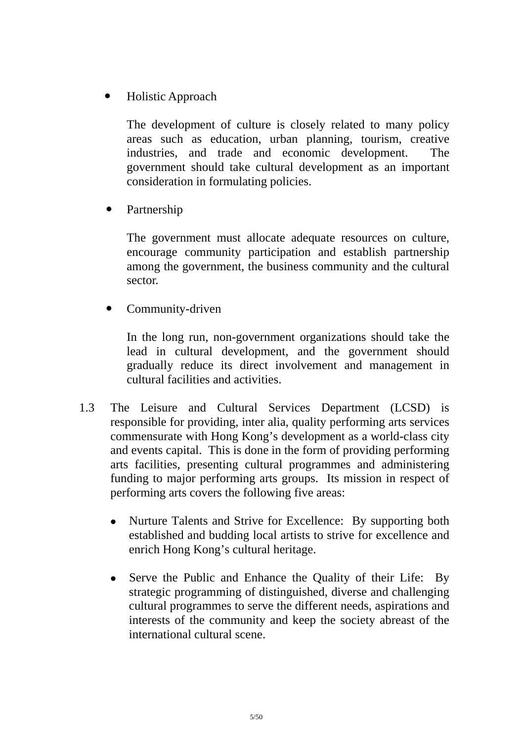! Holistic Approach

The development of culture is closely related to many policy areas such as education, urban planning, tourism, creative industries, and trade and economic development. The government should take cultural development as an important consideration in formulating policies.

Partnership

The government must allocate adequate resources on culture, encourage community participation and establish partnership among the government, the business community and the cultural sector.

Community-driven

In the long run, non-government organizations should take the lead in cultural development, and the government should gradually reduce its direct involvement and management in cultural facilities and activities.

- 1.3 The Leisure and Cultural Services Department (LCSD) is responsible for providing, inter alia, quality performing arts services commensurate with Hong Kong's development as a world-class city and events capital. This is done in the form of providing performing arts facilities, presenting cultural programmes and administering funding to major performing arts groups. Its mission in respect of performing arts covers the following five areas:
	- Nurture Talents and Strive for Excellence: By supporting both established and budding local artists to strive for excellence and enrich Hong Kong's cultural heritage.
	- Serve the Public and Enhance the Quality of their Life: By strategic programming of distinguished, diverse and challenging cultural programmes to serve the different needs, aspirations and interests of the community and keep the society abreast of the international cultural scene.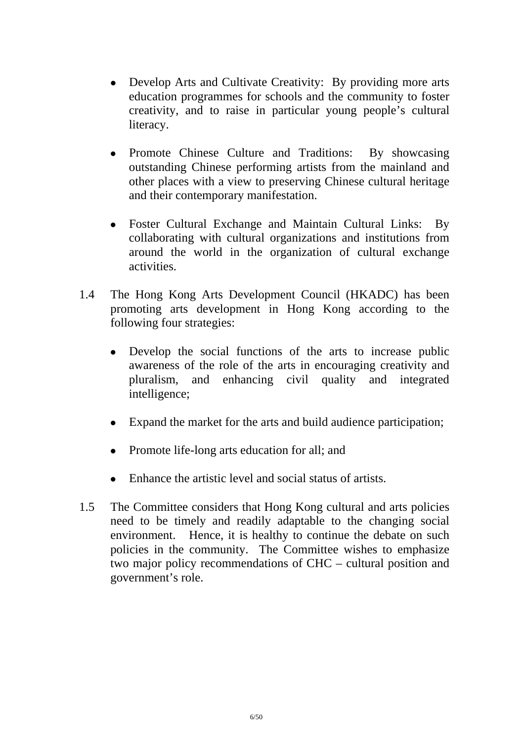- Develop Arts and Cultivate Creativity: By providing more arts education programmes for schools and the community to foster creativity, and to raise in particular young people's cultural literacy.
- Promote Chinese Culture and Traditions: By showcasing outstanding Chinese performing artists from the mainland and other places with a view to preserving Chinese cultural heritage and their contemporary manifestation.
- Foster Cultural Exchange and Maintain Cultural Links: By collaborating with cultural organizations and institutions from around the world in the organization of cultural exchange activities.
- 1.4 The Hong Kong Arts Development Council (HKADC) has been promoting arts development in Hong Kong according to the following four strategies:
	- Develop the social functions of the arts to increase public awareness of the role of the arts in encouraging creativity and pluralism, and enhancing civil quality and integrated intelligence;
	- ! Expand the market for the arts and build audience participation;
	- Promote life-long arts education for all; and
	- Enhance the artistic level and social status of artists.
- 1.5 The Committee considers that Hong Kong cultural and arts policies need to be timely and readily adaptable to the changing social environment. Hence, it is healthy to continue the debate on such policies in the community. The Committee wishes to emphasize two major policy recommendations of CHC – cultural position and government's role.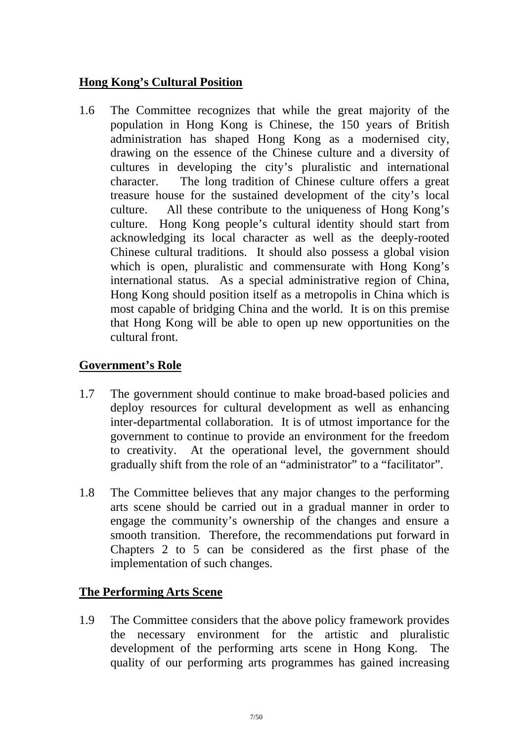# **Hong Kong's Cultural Position**

1.6 The Committee recognizes that while the great majority of the population in Hong Kong is Chinese, the 150 years of British administration has shaped Hong Kong as a modernised city, drawing on the essence of the Chinese culture and a diversity of cultures in developing the city's pluralistic and international character. The long tradition of Chinese culture offers a great treasure house for the sustained development of the city's local culture. All these contribute to the uniqueness of Hong Kong's culture. Hong Kong people's cultural identity should start from acknowledging its local character as well as the deeply-rooted Chinese cultural traditions. It should also possess a global vision which is open, pluralistic and commensurate with Hong Kong's international status. As a special administrative region of China, Hong Kong should position itself as a metropolis in China which is most capable of bridging China and the world. It is on this premise that Hong Kong will be able to open up new opportunities on the cultural front.

# **Government's Role**

- 1.7 The government should continue to make broad-based policies and deploy resources for cultural development as well as enhancing inter-departmental collaboration. It is of utmost importance for the government to continue to provide an environment for the freedom to creativity. At the operational level, the government should gradually shift from the role of an "administrator" to a "facilitator".
- 1.8 The Committee believes that any major changes to the performing arts scene should be carried out in a gradual manner in order to engage the community's ownership of the changes and ensure a smooth transition. Therefore, the recommendations put forward in Chapters 2 to 5 can be considered as the first phase of the implementation of such changes.

# **The Performing Arts Scene**

1.9 The Committee considers that the above policy framework provides the necessary environment for the artistic and pluralistic development of the performing arts scene in Hong Kong. The quality of our performing arts programmes has gained increasing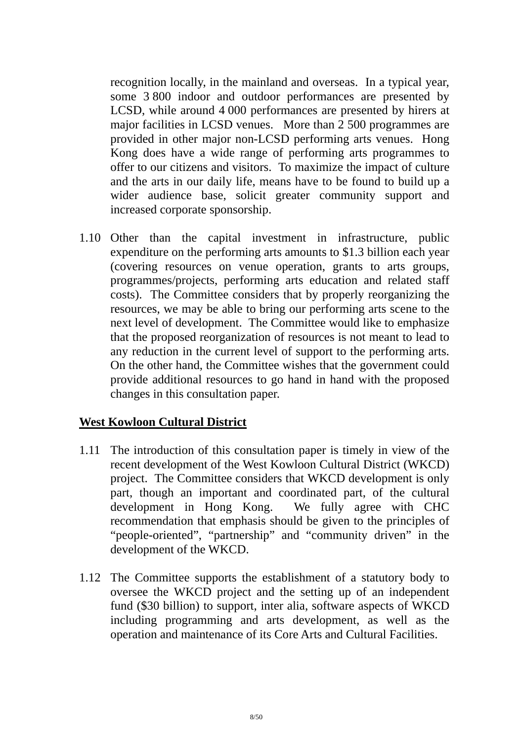recognition locally, in the mainland and overseas. In a typical year, some 3 800 indoor and outdoor performances are presented by LCSD, while around 4 000 performances are presented by hirers at major facilities in LCSD venues. More than 2 500 programmes are provided in other major non-LCSD performing arts venues. Hong Kong does have a wide range of performing arts programmes to offer to our citizens and visitors. To maximize the impact of culture and the arts in our daily life, means have to be found to build up a wider audience base, solicit greater community support and increased corporate sponsorship.

1.10 Other than the capital investment in infrastructure, public expenditure on the performing arts amounts to \$1.3 billion each year (covering resources on venue operation, grants to arts groups, programmes/projects, performing arts education and related staff costs). The Committee considers that by properly reorganizing the resources, we may be able to bring our performing arts scene to the next level of development. The Committee would like to emphasize that the proposed reorganization of resources is not meant to lead to any reduction in the current level of support to the performing arts. On the other hand, the Committee wishes that the government could provide additional resources to go hand in hand with the proposed changes in this consultation paper.

# **West Kowloon Cultural District**

- 1.11 The introduction of this consultation paper is timely in view of the recent development of the West Kowloon Cultural District (WKCD) project. The Committee considers that WKCD development is only part, though an important and coordinated part, of the cultural development in Hong Kong. We fully agree with CHC recommendation that emphasis should be given to the principles of "people-oriented", "partnership" and "community driven" in the development of the WKCD.
- 1.12 The Committee supports the establishment of a statutory body to oversee the WKCD project and the setting up of an independent fund (\$30 billion) to support, inter alia, software aspects of WKCD including programming and arts development, as well as the operation and maintenance of its Core Arts and Cultural Facilities.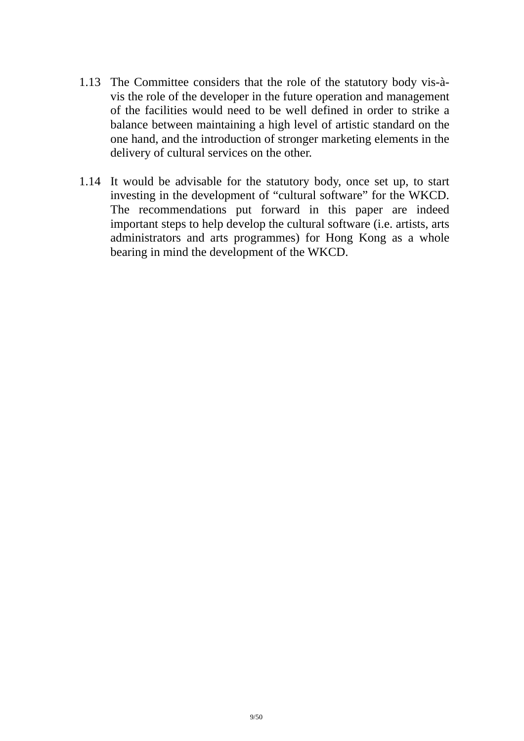- 1.13 The Committee considers that the role of the statutory body vis-àvis the role of the developer in the future operation and management of the facilities would need to be well defined in order to strike a balance between maintaining a high level of artistic standard on the one hand, and the introduction of stronger marketing elements in the delivery of cultural services on the other.
- 1.14 It would be advisable for the statutory body, once set up, to start investing in the development of "cultural software" for the WKCD. The recommendations put forward in this paper are indeed important steps to help develop the cultural software (i.e. artists, arts administrators and arts programmes) for Hong Kong as a whole bearing in mind the development of the WKCD.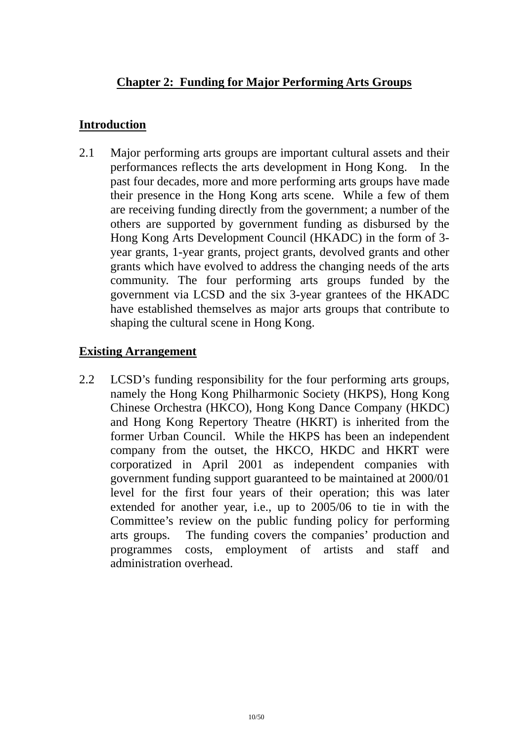# **Chapter 2: Funding for Major Performing Arts Groups**

# **Introduction**

2.1 Major performing arts groups are important cultural assets and their performances reflects the arts development in Hong Kong. In the past four decades, more and more performing arts groups have made their presence in the Hong Kong arts scene. While a few of them are receiving funding directly from the government; a number of the others are supported by government funding as disbursed by the Hong Kong Arts Development Council (HKADC) in the form of 3 year grants, 1-year grants, project grants, devolved grants and other grants which have evolved to address the changing needs of the arts community. The four performing arts groups funded by the government via LCSD and the six 3-year grantees of the HKADC have established themselves as major arts groups that contribute to shaping the cultural scene in Hong Kong.

# **Existing Arrangement**

2.2 LCSD's funding responsibility for the four performing arts groups, namely the Hong Kong Philharmonic Society (HKPS), Hong Kong Chinese Orchestra (HKCO), Hong Kong Dance Company (HKDC) and Hong Kong Repertory Theatre (HKRT) is inherited from the former Urban Council. While the HKPS has been an independent company from the outset, the HKCO, HKDC and HKRT were corporatized in April 2001 as independent companies with government funding support guaranteed to be maintained at 2000/01 level for the first four years of their operation; this was later extended for another year, i.e., up to 2005/06 to tie in with the Committee's review on the public funding policy for performing arts groups. The funding covers the companies' production and programmes costs, employment of artists and staff and administration overhead.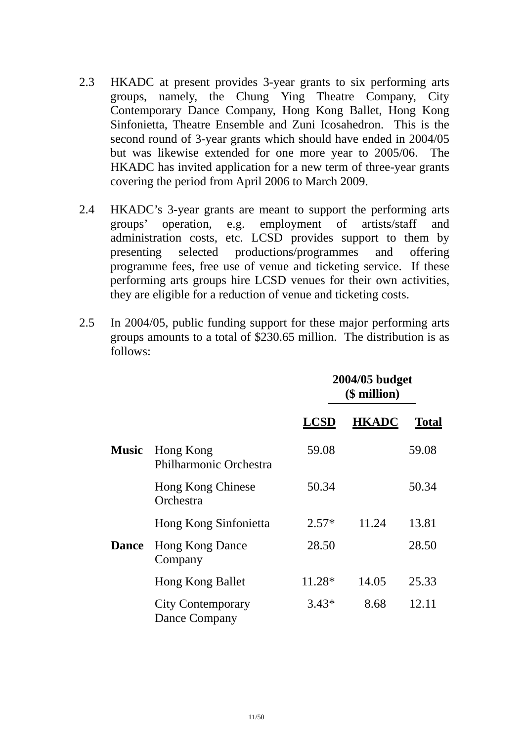- 2.3 HKADC at present provides 3-year grants to six performing arts groups, namely, the Chung Ying Theatre Company, City Contemporary Dance Company, Hong Kong Ballet, Hong Kong Sinfonietta, Theatre Ensemble and Zuni Icosahedron. This is the second round of 3-year grants which should have ended in 2004/05 but was likewise extended for one more year to 2005/06. The HKADC has invited application for a new term of three-year grants covering the period from April 2006 to March 2009.
- 2.4 HKADC's 3-year grants are meant to support the performing arts groups' operation, e.g. employment of artists/staff and administration costs, etc. LCSD provides support to them by presenting selected productions/programmes and offering programme fees, free use of venue and ticketing service. If these performing arts groups hire LCSD venues for their own activities, they are eligible for a reduction of venue and ticketing costs.
- 2.5 In 2004/05, public funding support for these major performing arts groups amounts to a total of \$230.65 million. The distribution is as follows:

|              |                                            | 2004/05 budget<br>(\$ million) |              |              |
|--------------|--------------------------------------------|--------------------------------|--------------|--------------|
|              |                                            | <b>LCSD</b>                    | <b>HKADC</b> | <b>Total</b> |
| <b>Music</b> | Hong Kong<br><b>Philharmonic Orchestra</b> | 59.08                          |              | 59.08        |
|              | Hong Kong Chinese<br>Orchestra             | 50.34                          |              | 50.34        |
|              | Hong Kong Sinfonietta                      | $2.57*$                        | 11.24        | 13.81        |
| <b>Dance</b> | <b>Hong Kong Dance</b><br>Company          | 28.50                          |              | 28.50        |
|              | <b>Hong Kong Ballet</b>                    | 11.28*                         | 14.05        | 25.33        |
|              | <b>City Contemporary</b><br>Dance Company  | $3.43*$                        | 8.68         | 12.11        |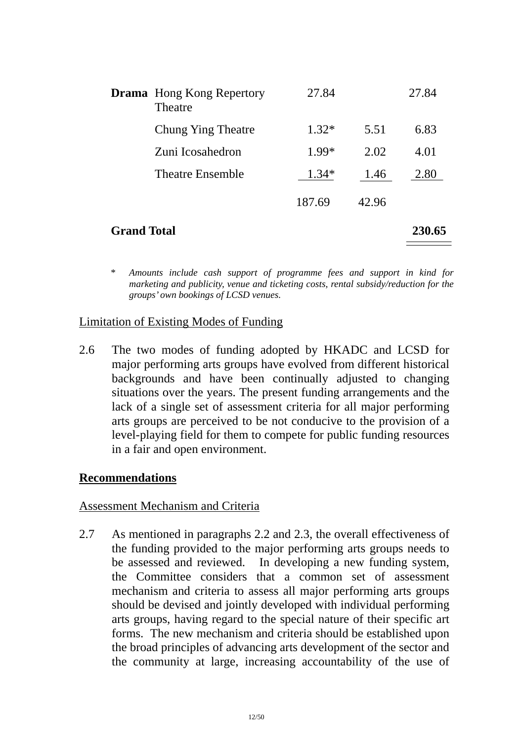|                    | <b>Drama</b> Hong Kong Repertory<br>Theatre | 27.84   |       | 27.84  |
|--------------------|---------------------------------------------|---------|-------|--------|
|                    | Chung Ying Theatre                          | $1.32*$ | 5.51  | 6.83   |
|                    | Zuni Icosahedron                            | 1.99*   | 2.02  | 4.01   |
|                    | <b>Theatre Ensemble</b>                     | $1.34*$ | 1.46  | 2.80   |
|                    |                                             | 187.69  | 42.96 |        |
| <b>Grand Total</b> |                                             |         |       | 230.65 |

*\* Amounts include cash support of programme fees and support in kind for marketing and publicity, venue and ticketing costs, rental subsidy/reduction for the groups' own bookings of LCSD venues.* 

# Limitation of Existing Modes of Funding

2.6 The two modes of funding adopted by HKADC and LCSD for major performing arts groups have evolved from different historical backgrounds and have been continually adjusted to changing situations over the years. The present funding arrangements and the lack of a single set of assessment criteria for all major performing arts groups are perceived to be not conducive to the provision of a level-playing field for them to compete for public funding resources in a fair and open environment.

#### **Recommendations**

#### Assessment Mechanism and Criteria

2.7 As mentioned in paragraphs 2.2 and 2.3, the overall effectiveness of the funding provided to the major performing arts groups needs to be assessed and reviewed. In developing a new funding system, the Committee considers that a common set of assessment mechanism and criteria to assess all major performing arts groups should be devised and jointly developed with individual performing arts groups, having regard to the special nature of their specific art forms. The new mechanism and criteria should be established upon the broad principles of advancing arts development of the sector and the community at large, increasing accountability of the use of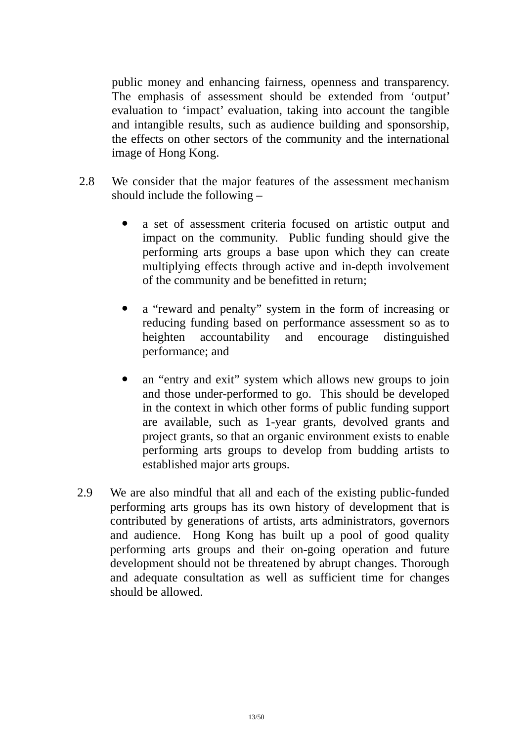public money and enhancing fairness, openness and transparency. The emphasis of assessment should be extended from 'output' evaluation to 'impact' evaluation, taking into account the tangible and intangible results, such as audience building and sponsorship, the effects on other sectors of the community and the international image of Hong Kong.

- 2.8 We consider that the major features of the assessment mechanism should include the following –
	- a set of assessment criteria focused on artistic output and impact on the community. Public funding should give the performing arts groups a base upon which they can create multiplying effects through active and in-depth involvement of the community and be benefitted in return;
	- a "reward and penalty" system in the form of increasing or reducing funding based on performance assessment so as to heighten accountability and encourage distinguished performance; and
	- an "entry and exit" system which allows new groups to join and those under-performed to go. This should be developed in the context in which other forms of public funding support are available, such as 1-year grants, devolved grants and project grants, so that an organic environment exists to enable performing arts groups to develop from budding artists to established major arts groups.
- 2.9 We are also mindful that all and each of the existing public-funded performing arts groups has its own history of development that is contributed by generations of artists, arts administrators, governors and audience. Hong Kong has built up a pool of good quality performing arts groups and their on-going operation and future development should not be threatened by abrupt changes. Thorough and adequate consultation as well as sufficient time for changes should be allowed.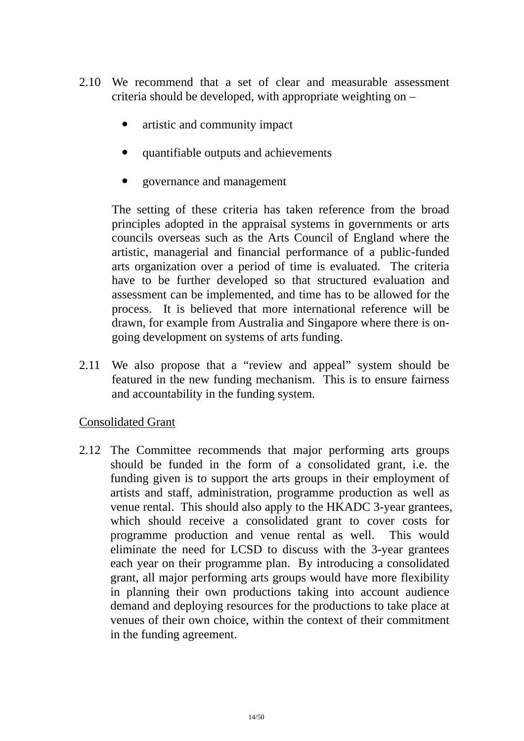- 2.10 We recommend that a set of clear and measurable assessment criteria should be developed, with appropriate weighting on –
	- artistic and community impact
	- ! quantifiable outputs and achievements
	- ! governance and management

The setting of these criteria has taken reference from the broad principles adopted in the appraisal systems in governments or arts councils overseas such as the Arts Council of England where the artistic, managerial and financial performance of a public-funded arts organization over a period of time is evaluated. The criteria have to be further developed so that structured evaluation and assessment can be implemented, and time has to be allowed for the process. It is believed that more international reference will be drawn, for example from Australia and Singapore where there is ongoing development on systems of arts funding.

2.11 We also propose that a "review and appeal" system should be featured in the new funding mechanism. This is to ensure fairness and accountability in the funding system.

#### Consolidated Grant

2.12 The Committee recommends that major performing arts groups should be funded in the form of a consolidated grant, i.e. the funding given is to support the arts groups in their employment of artists and staff, administration, programme production as well as venue rental. This should also apply to the HKADC 3-year grantees, which should receive a consolidated grant to cover costs for programme production and venue rental as well. This would eliminate the need for LCSD to discuss with the 3-year grantees each year on their programme plan. By introducing a consolidated grant, all major performing arts groups would have more flexibility in planning their own productions taking into account audience demand and deploying resources for the productions to take place at venues of their own choice, within the context of their commitment in the funding agreement.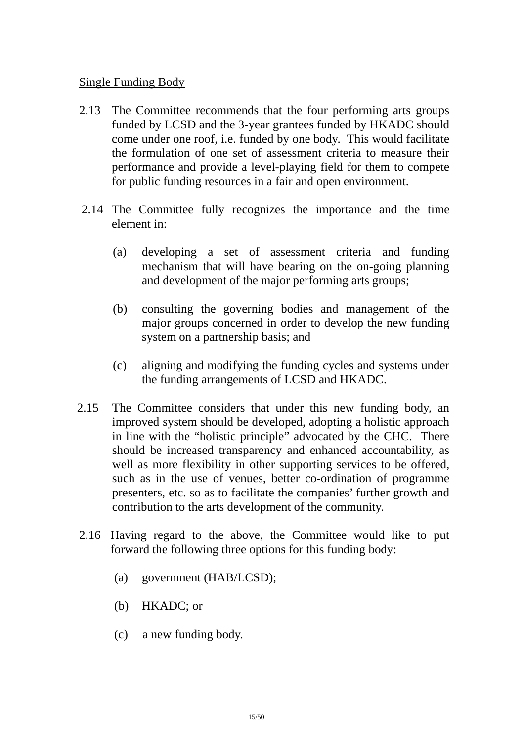#### Single Funding Body

- 2.13 The Committee recommends that the four performing arts groups funded by LCSD and the 3-year grantees funded by HKADC should come under one roof, i.e. funded by one body. This would facilitate the formulation of one set of assessment criteria to measure their performance and provide a level-playing field for them to compete for public funding resources in a fair and open environment.
- 2.14 The Committee fully recognizes the importance and the time element in:
	- (a) developing a set of assessment criteria and funding mechanism that will have bearing on the on-going planning and development of the major performing arts groups;
	- (b) consulting the governing bodies and management of the major groups concerned in order to develop the new funding system on a partnership basis; and
	- (c) aligning and modifying the funding cycles and systems under the funding arrangements of LCSD and HKADC.
- 2.15 The Committee considers that under this new funding body, an improved system should be developed, adopting a holistic approach in line with the "holistic principle" advocated by the CHC. There should be increased transparency and enhanced accountability, as well as more flexibility in other supporting services to be offered, such as in the use of venues, better co-ordination of programme presenters, etc. so as to facilitate the companies' further growth and contribution to the arts development of the community.
- 2.16 Having regard to the above, the Committee would like to put forward the following three options for this funding body:
	- (a) government (HAB/LCSD);
	- (b) HKADC; or
	- (c) a new funding body.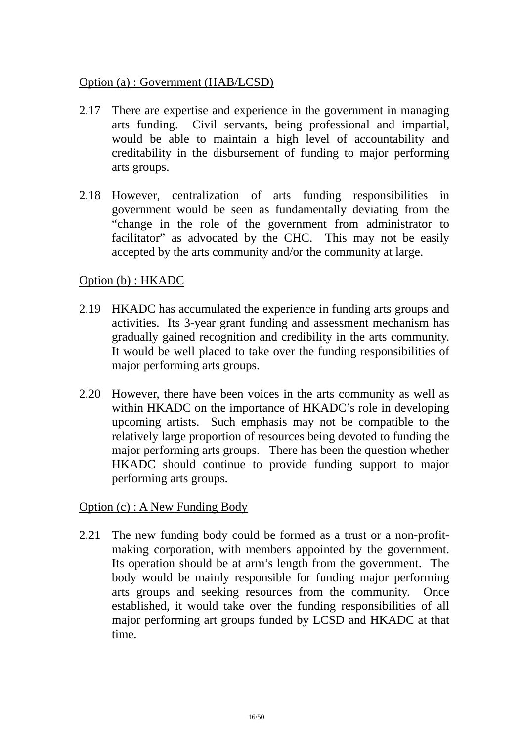#### Option (a) : Government (HAB/LCSD)

- 2.17 There are expertise and experience in the government in managing arts funding. Civil servants, being professional and impartial, would be able to maintain a high level of accountability and creditability in the disbursement of funding to major performing arts groups.
- 2.18 However, centralization of arts funding responsibilities in government would be seen as fundamentally deviating from the "change in the role of the government from administrator to facilitator" as advocated by the CHC. This may not be easily accepted by the arts community and/or the community at large.

# Option (b) : HKADC

- 2.19 HKADC has accumulated the experience in funding arts groups and activities. Its 3-year grant funding and assessment mechanism has gradually gained recognition and credibility in the arts community. It would be well placed to take over the funding responsibilities of major performing arts groups.
- 2.20 However, there have been voices in the arts community as well as within HKADC on the importance of HKADC's role in developing upcoming artists. Such emphasis may not be compatible to the relatively large proportion of resources being devoted to funding the major performing arts groups. There has been the question whether HKADC should continue to provide funding support to major performing arts groups.

Option (c) : A New Funding Body

2.21 The new funding body could be formed as a trust or a non-profitmaking corporation, with members appointed by the government. Its operation should be at arm's length from the government. The body would be mainly responsible for funding major performing arts groups and seeking resources from the community. Once established, it would take over the funding responsibilities of all major performing art groups funded by LCSD and HKADC at that time.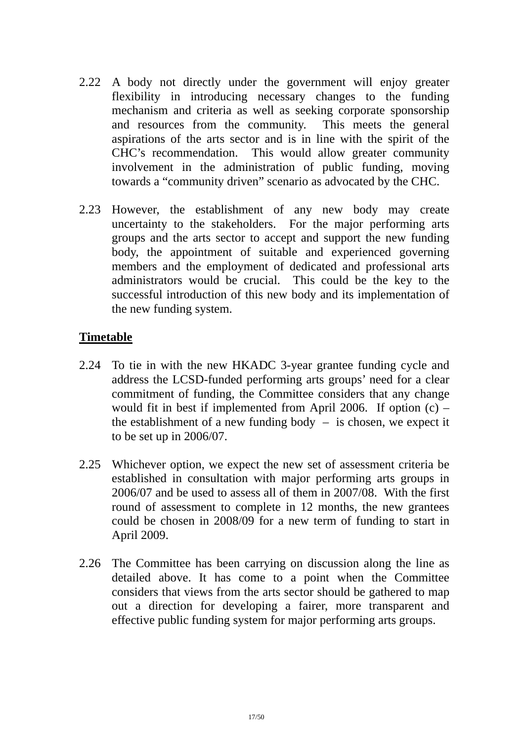- 2.22 A body not directly under the government will enjoy greater flexibility in introducing necessary changes to the funding mechanism and criteria as well as seeking corporate sponsorship and resources from the community. This meets the general aspirations of the arts sector and is in line with the spirit of the CHC's recommendation. This would allow greater community involvement in the administration of public funding, moving towards a "community driven" scenario as advocated by the CHC.
- 2.23 However, the establishment of any new body may create uncertainty to the stakeholders. For the major performing arts groups and the arts sector to accept and support the new funding body, the appointment of suitable and experienced governing members and the employment of dedicated and professional arts administrators would be crucial. This could be the key to the successful introduction of this new body and its implementation of the new funding system.

#### **Timetable**

- 2.24 To tie in with the new HKADC 3-year grantee funding cycle and address the LCSD-funded performing arts groups' need for a clear commitment of funding, the Committee considers that any change would fit in best if implemented from April 2006. If option  $(c)$  – the establishment of a new funding body  $-$  is chosen, we expect it to be set up in 2006/07.
- 2.25 Whichever option, we expect the new set of assessment criteria be established in consultation with major performing arts groups in 2006/07 and be used to assess all of them in 2007/08. With the first round of assessment to complete in 12 months, the new grantees could be chosen in 2008/09 for a new term of funding to start in April 2009.
- 2.26 The Committee has been carrying on discussion along the line as detailed above. It has come to a point when the Committee considers that views from the arts sector should be gathered to map out a direction for developing a fairer, more transparent and effective public funding system for major performing arts groups.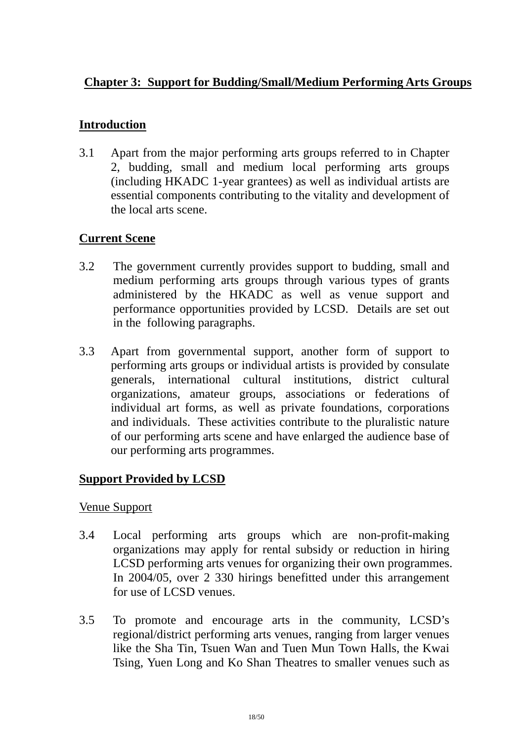# **Chapter 3: Support for Budding/Small/Medium Performing Arts Groups**

# **Introduction**

3.1 Apart from the major performing arts groups referred to in Chapter 2, budding, small and medium local performing arts groups (including HKADC 1-year grantees) as well as individual artists are essential components contributing to the vitality and development of the local arts scene.

# **Current Scene**

- 3.2 The government currently provides support to budding, small and medium performing arts groups through various types of grants administered by the HKADC as well as venue support and performance opportunities provided by LCSD. Details are set out in the following paragraphs.
- 3.3 Apart from governmental support, another form of support to performing arts groups or individual artists is provided by consulate generals, international cultural institutions, district cultural organizations, amateur groups, associations or federations of individual art forms, as well as private foundations, corporations and individuals. These activities contribute to the pluralistic nature of our performing arts scene and have enlarged the audience base of our performing arts programmes.

# **Support Provided by LCSD**

# Venue Support

- 3.4 Local performing arts groups which are non-profit-making organizations may apply for rental subsidy or reduction in hiring LCSD performing arts venues for organizing their own programmes. In 2004/05, over 2 330 hirings benefitted under this arrangement for use of LCSD venues.
- 3.5 To promote and encourage arts in the community, LCSD's regional/district performing arts venues, ranging from larger venues like the Sha Tin, Tsuen Wan and Tuen Mun Town Halls, the Kwai Tsing, Yuen Long and Ko Shan Theatres to smaller venues such as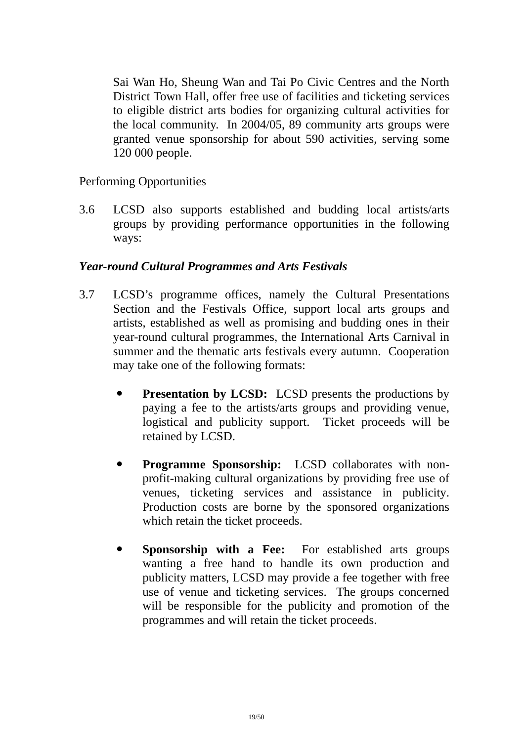Sai Wan Ho, Sheung Wan and Tai Po Civic Centres and the North District Town Hall, offer free use of facilities and ticketing services to eligible district arts bodies for organizing cultural activities for the local community. In 2004/05, 89 community arts groups were granted venue sponsorship for about 590 activities, serving some 120 000 people.

# Performing Opportunities

3.6 LCSD also supports established and budding local artists/arts groups by providing performance opportunities in the following ways:

#### *Year-round Cultural Programmes and Arts Festivals*

- 3.7 LCSD's programme offices, namely the Cultural Presentations Section and the Festivals Office, support local arts groups and artists, established as well as promising and budding ones in their year-round cultural programmes, the International Arts Carnival in summer and the thematic arts festivals every autumn. Cooperation may take one of the following formats:
	- **Presentation by LCSD:** LCSD presents the productions by paying a fee to the artists/arts groups and providing venue, logistical and publicity support. Ticket proceeds will be retained by LCSD.
	- ! **Programme Sponsorship:** LCSD collaborates with nonprofit-making cultural organizations by providing free use of venues, ticketing services and assistance in publicity. Production costs are borne by the sponsored organizations which retain the ticket proceeds.
	- **Sponsorship with a Fee:** For established arts groups wanting a free hand to handle its own production and publicity matters, LCSD may provide a fee together with free use of venue and ticketing services. The groups concerned will be responsible for the publicity and promotion of the programmes and will retain the ticket proceeds.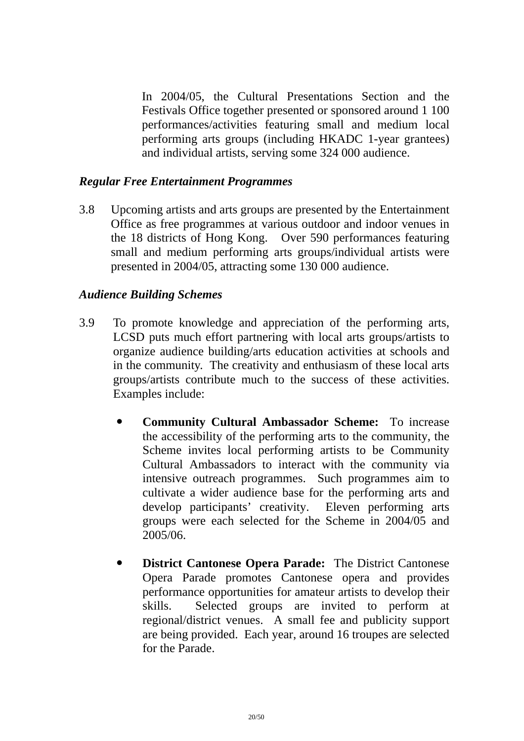In 2004/05, the Cultural Presentations Section and the Festivals Office together presented or sponsored around 1 100 performances/activities featuring small and medium local performing arts groups (including HKADC 1-year grantees) and individual artists, serving some 324 000 audience.

#### *Regular Free Entertainment Programmes*

3.8 Upcoming artists and arts groups are presented by the Entertainment Office as free programmes at various outdoor and indoor venues in the 18 districts of Hong Kong. Over 590 performances featuring small and medium performing arts groups/individual artists were presented in 2004/05, attracting some 130 000 audience.

#### *Audience Building Schemes*

- 3.9 To promote knowledge and appreciation of the performing arts, LCSD puts much effort partnering with local arts groups/artists to organize audience building/arts education activities at schools and in the community. The creativity and enthusiasm of these local arts groups/artists contribute much to the success of these activities. Examples include:
	- ! **Community Cultural Ambassador Scheme:** To increase the accessibility of the performing arts to the community, the Scheme invites local performing artists to be Community Cultural Ambassadors to interact with the community via intensive outreach programmes. Such programmes aim to cultivate a wider audience base for the performing arts and develop participants' creativity. Eleven performing arts groups were each selected for the Scheme in 2004/05 and 2005/06.
	- ! **District Cantonese Opera Parade:** The District Cantonese Opera Parade promotes Cantonese opera and provides performance opportunities for amateur artists to develop their skills. Selected groups are invited to perform at regional/district venues. A small fee and publicity support are being provided. Each year, around 16 troupes are selected for the Parade.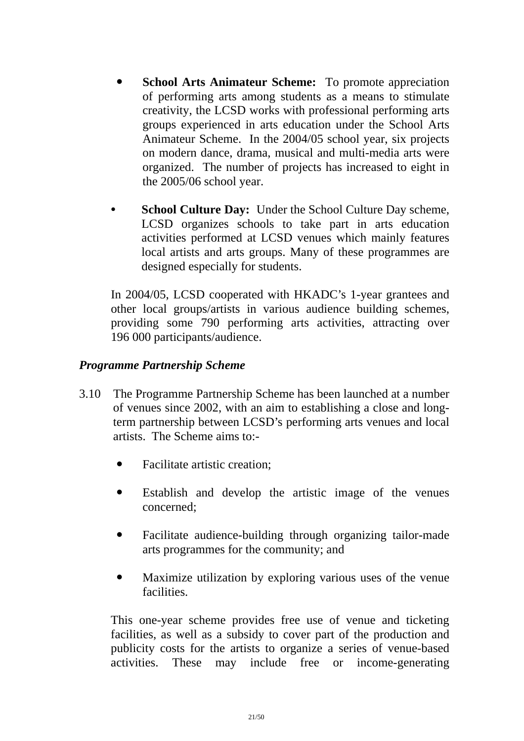- **School Arts Animateur Scheme:** To promote appreciation of performing arts among students as a means to stimulate creativity, the LCSD works with professional performing arts groups experienced in arts education under the School Arts Animateur Scheme. In the 2004/05 school year, six projects on modern dance, drama, musical and multi-media arts were organized. The number of projects has increased to eight in the 2005/06 school year.
- **School Culture Day:** Under the School Culture Day scheme, LCSD organizes schools to take part in arts education activities performed at LCSD venues which mainly features local artists and arts groups. Many of these programmes are designed especially for students.

 In 2004/05, LCSD cooperated with HKADC's 1-year grantees and other local groups/artists in various audience building schemes, providing some 790 performing arts activities, attracting over 196 000 participants/audience.

# *Programme Partnership Scheme*

- 3.10 The Programme Partnership Scheme has been launched at a number of venues since 2002, with an aim to establishing a close and longterm partnership between LCSD's performing arts venues and local artists. The Scheme aims to:-
	- Facilitate artistic creation;
	- ! Establish and develop the artistic image of the venues concerned;
	- ! Facilitate audience-building through organizing tailor-made arts programmes for the community; and
	- Maximize utilization by exploring various uses of the venue facilities.

This one-year scheme provides free use of venue and ticketing facilities, as well as a subsidy to cover part of the production and publicity costs for the artists to organize a series of venue-based activities. These may include free or income-generating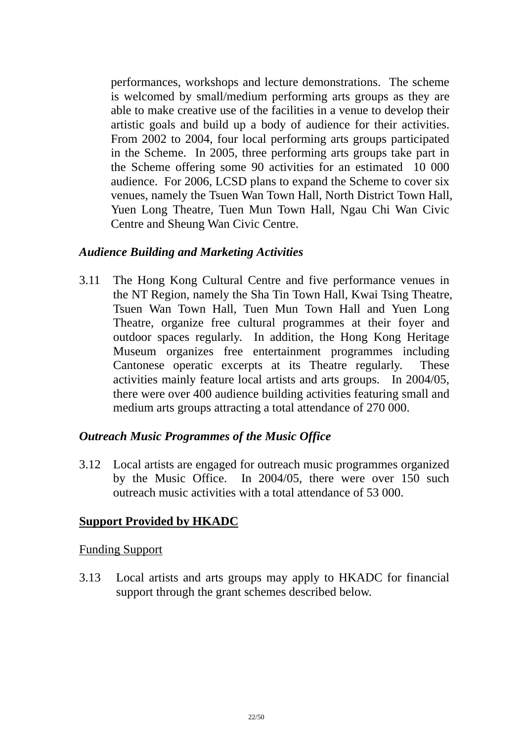performances, workshops and lecture demonstrations. The scheme is welcomed by small/medium performing arts groups as they are able to make creative use of the facilities in a venue to develop their artistic goals and build up a body of audience for their activities. From 2002 to 2004, four local performing arts groups participated in the Scheme. In 2005, three performing arts groups take part in the Scheme offering some 90 activities for an estimated 10 000 audience. For 2006, LCSD plans to expand the Scheme to cover six venues, namely the Tsuen Wan Town Hall, North District Town Hall, Yuen Long Theatre, Tuen Mun Town Hall, Ngau Chi Wan Civic Centre and Sheung Wan Civic Centre.

#### *Audience Building and Marketing Activities*

3.11 The Hong Kong Cultural Centre and five performance venues in the NT Region, namely the Sha Tin Town Hall, Kwai Tsing Theatre, Tsuen Wan Town Hall, Tuen Mun Town Hall and Yuen Long Theatre, organize free cultural programmes at their foyer and outdoor spaces regularly. In addition, the Hong Kong Heritage Museum organizes free entertainment programmes including Cantonese operatic excerpts at its Theatre regularly. These activities mainly feature local artists and arts groups. In 2004/05, there were over 400 audience building activities featuring small and medium arts groups attracting a total attendance of 270 000.

#### *Outreach Music Programmes of the Music Office*

3.12 Local artists are engaged for outreach music programmes organized by the Music Office. In 2004/05, there were over 150 such outreach music activities with a total attendance of 53 000.

# **Support Provided by HKADC**

#### Funding Support

3.13 Local artists and arts groups may apply to HKADC for financial support through the grant schemes described below.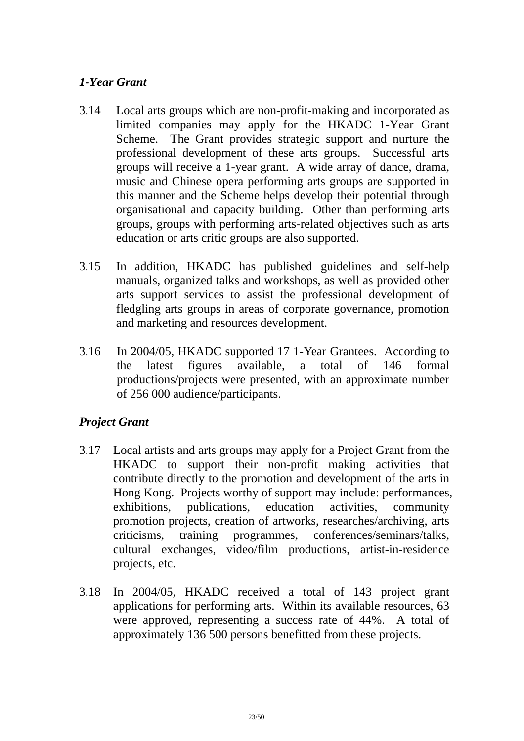# *1-Year Grant*

- 3.14 Local arts groups which are non-profit-making and incorporated as limited companies may apply for the HKADC 1-Year Grant Scheme. The Grant provides strategic support and nurture the professional development of these arts groups. Successful arts groups will receive a 1-year grant. A wide array of dance, drama, music and Chinese opera performing arts groups are supported in this manner and the Scheme helps develop their potential through organisational and capacity building. Other than performing arts groups, groups with performing arts-related objectives such as arts education or arts critic groups are also supported.
- 3.15 In addition, HKADC has published guidelines and self-help manuals, organized talks and workshops, as well as provided other arts support services to assist the professional development of fledgling arts groups in areas of corporate governance, promotion and marketing and resources development.
- 3.16 In 2004/05, HKADC supported 17 1-Year Grantees. According to the latest figures available, a total of 146 formal productions/projects were presented, with an approximate number of 256 000 audience/participants.

# *Project Grant*

- 3.17 Local artists and arts groups may apply for a Project Grant from the HKADC to support their non-profit making activities that contribute directly to the promotion and development of the arts in Hong Kong. Projects worthy of support may include: performances, exhibitions, publications, education activities, community promotion projects, creation of artworks, researches/archiving, arts criticisms, training programmes, conferences/seminars/talks, cultural exchanges, video/film productions, artist-in-residence projects, etc.
- 3.18 In 2004/05, HKADC received a total of 143 project grant applications for performing arts. Within its available resources, 63 were approved, representing a success rate of 44%. A total of approximately 136 500 persons benefitted from these projects.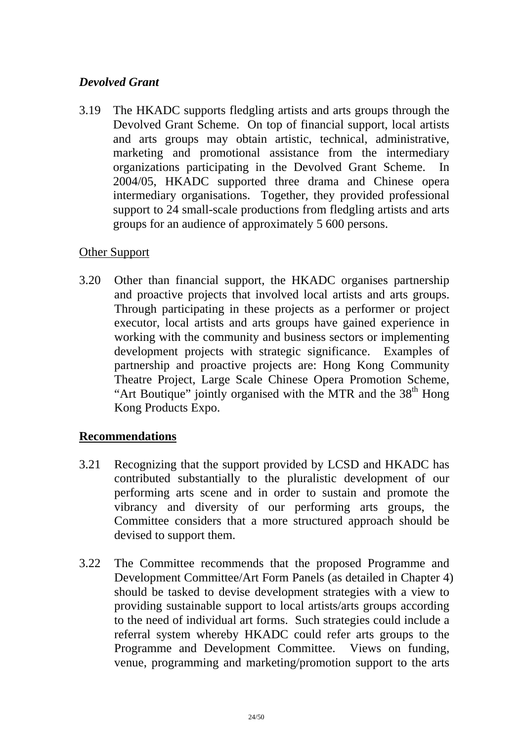# *Devolved Grant*

3.19 The HKADC supports fledgling artists and arts groups through the Devolved Grant Scheme. On top of financial support, local artists and arts groups may obtain artistic, technical, administrative, marketing and promotional assistance from the intermediary organizations participating in the Devolved Grant Scheme. In 2004/05, HKADC supported three drama and Chinese opera intermediary organisations. Together, they provided professional support to 24 small-scale productions from fledgling artists and arts groups for an audience of approximately 5 600 persons.

# Other Support

3.20 Other than financial support, the HKADC organises partnership and proactive projects that involved local artists and arts groups. Through participating in these projects as a performer or project executor, local artists and arts groups have gained experience in working with the community and business sectors or implementing development projects with strategic significance. Examples of partnership and proactive projects are: Hong Kong Community Theatre Project, Large Scale Chinese Opera Promotion Scheme, "Art Boutique" jointly organised with the MTR and the  $38<sup>th</sup>$  Hong Kong Products Expo.

# **Recommendations**

- 3.21 Recognizing that the support provided by LCSD and HKADC has contributed substantially to the pluralistic development of our performing arts scene and in order to sustain and promote the vibrancy and diversity of our performing arts groups, the Committee considers that a more structured approach should be devised to support them.
- 3.22 The Committee recommends that the proposed Programme and Development Committee/Art Form Panels (as detailed in Chapter 4) should be tasked to devise development strategies with a view to providing sustainable support to local artists/arts groups according to the need of individual art forms. Such strategies could include a referral system whereby HKADC could refer arts groups to the Programme and Development Committee. Views on funding, venue, programming and marketing/promotion support to the arts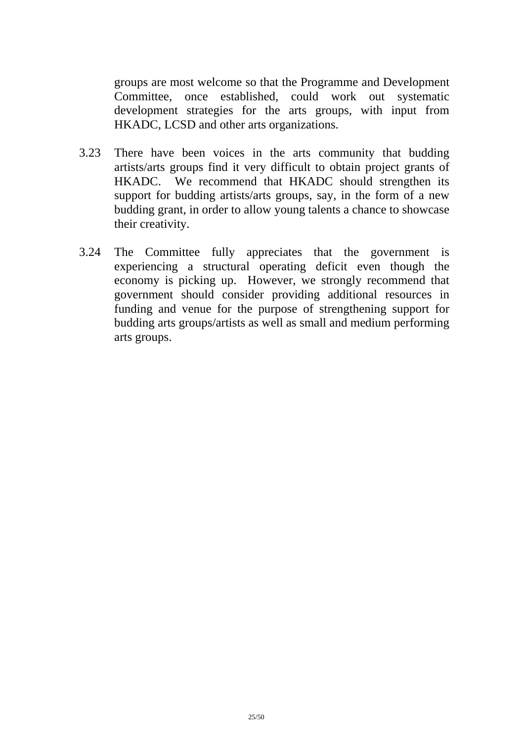groups are most welcome so that the Programme and Development Committee, once established, could work out systematic development strategies for the arts groups, with input from HKADC, LCSD and other arts organizations.

- 3.23 There have been voices in the arts community that budding artists/arts groups find it very difficult to obtain project grants of HKADC. We recommend that HKADC should strengthen its support for budding artists/arts groups, say, in the form of a new budding grant, in order to allow young talents a chance to showcase their creativity.
- 3.24 The Committee fully appreciates that the government is experiencing a structural operating deficit even though the economy is picking up. However, we strongly recommend that government should consider providing additional resources in funding and venue for the purpose of strengthening support for budding arts groups/artists as well as small and medium performing arts groups.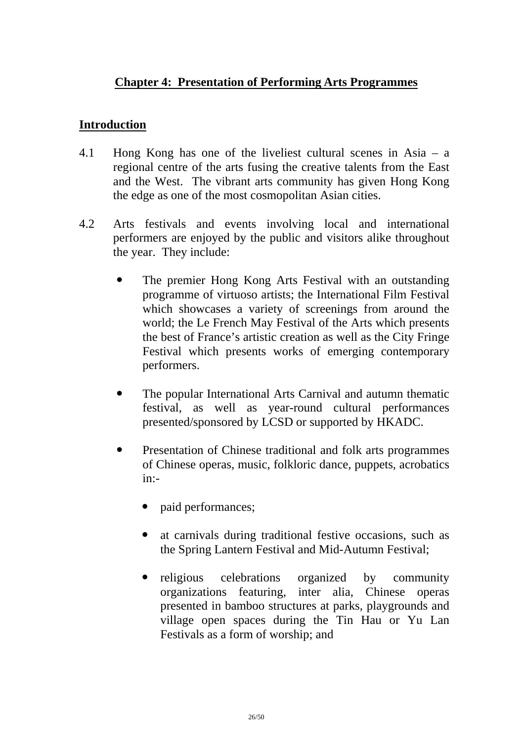# **Chapter 4: Presentation of Performing Arts Programmes**

#### **Introduction**

- 4.1 Hong Kong has one of the liveliest cultural scenes in Asia a regional centre of the arts fusing the creative talents from the East and the West. The vibrant arts community has given Hong Kong the edge as one of the most cosmopolitan Asian cities.
- 4.2 Arts festivals and events involving local and international performers are enjoyed by the public and visitors alike throughout the year. They include:
	- ! The premier Hong Kong Arts Festival with an outstanding programme of virtuoso artists; the International Film Festival which showcases a variety of screenings from around the world; the Le French May Festival of the Arts which presents the best of France's artistic creation as well as the City Fringe Festival which presents works of emerging contemporary performers.
	- ! The popular International Arts Carnival and autumn thematic festival, as well as year-round cultural performances presented/sponsored by LCSD or supported by HKADC.
	- ! Presentation of Chinese traditional and folk arts programmes of Chinese operas, music, folkloric dance, puppets, acrobatics in:
		- paid performances;
		- at carnivals during traditional festive occasions, such as the Spring Lantern Festival and Mid-Autumn Festival;
		- religious celebrations organized by community organizations featuring, inter alia, Chinese operas presented in bamboo structures at parks, playgrounds and village open spaces during the Tin Hau or Yu Lan Festivals as a form of worship; and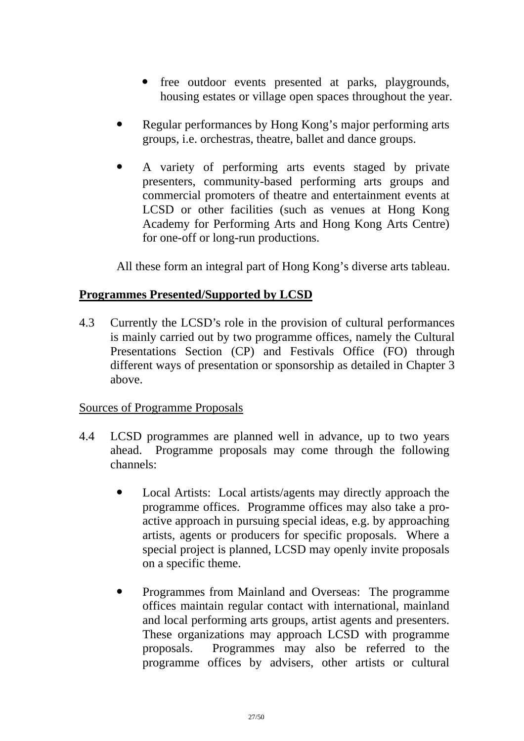- free outdoor events presented at parks, playgrounds, housing estates or village open spaces throughout the year.
- Regular performances by Hong Kong's major performing arts groups, i.e. orchestras, theatre, ballet and dance groups.
- ! A variety of performing arts events staged by private presenters, community-based performing arts groups and commercial promoters of theatre and entertainment events at LCSD or other facilities (such as venues at Hong Kong Academy for Performing Arts and Hong Kong Arts Centre) for one-off or long-run productions.

All these form an integral part of Hong Kong's diverse arts tableau.

# **Programmes Presented/Supported by LCSD**

4.3 Currently the LCSD's role in the provision of cultural performances is mainly carried out by two programme offices, namely the Cultural Presentations Section (CP) and Festivals Office (FO) through different ways of presentation or sponsorship as detailed in Chapter 3 above.

# Sources of Programme Proposals

- 4.4 LCSD programmes are planned well in advance, up to two years ahead. Programme proposals may come through the following channels:
	- Local Artists: Local artists/agents may directly approach the programme offices. Programme offices may also take a proactive approach in pursuing special ideas, e.g. by approaching artists, agents or producers for specific proposals. Where a special project is planned, LCSD may openly invite proposals on a specific theme.
	- ! Programmes from Mainland and Overseas: The programme offices maintain regular contact with international, mainland and local performing arts groups, artist agents and presenters. These organizations may approach LCSD with programme proposals. Programmes may also be referred to the programme offices by advisers, other artists or cultural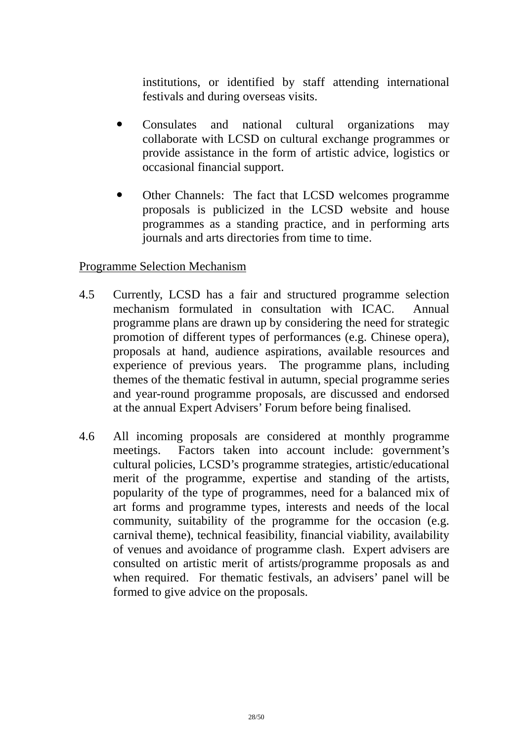institutions, or identified by staff attending international festivals and during overseas visits.

- ! Consulates and national cultural organizations may collaborate with LCSD on cultural exchange programmes or provide assistance in the form of artistic advice, logistics or occasional financial support.
- ! Other Channels: The fact that LCSD welcomes programme proposals is publicized in the LCSD website and house programmes as a standing practice, and in performing arts journals and arts directories from time to time.

# Programme Selection Mechanism

- 4.5 Currently, LCSD has a fair and structured programme selection mechanism formulated in consultation with ICAC. Annual programme plans are drawn up by considering the need for strategic promotion of different types of performances (e.g. Chinese opera), proposals at hand, audience aspirations, available resources and experience of previous years. The programme plans, including themes of the thematic festival in autumn, special programme series and year-round programme proposals, are discussed and endorsed at the annual Expert Advisers' Forum before being finalised.
- 4.6 All incoming proposals are considered at monthly programme meetings. Factors taken into account include: government's cultural policies, LCSD's programme strategies, artistic/educational merit of the programme, expertise and standing of the artists, popularity of the type of programmes, need for a balanced mix of art forms and programme types, interests and needs of the local community, suitability of the programme for the occasion (e.g. carnival theme), technical feasibility, financial viability, availability of venues and avoidance of programme clash. Expert advisers are consulted on artistic merit of artists/programme proposals as and when required. For thematic festivals, an advisers' panel will be formed to give advice on the proposals.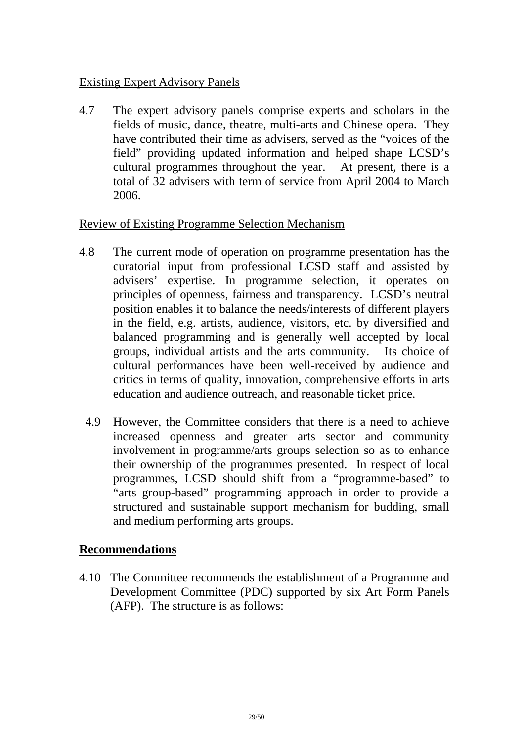# Existing Expert Advisory Panels

4.7 The expert advisory panels comprise experts and scholars in the fields of music, dance, theatre, multi-arts and Chinese opera. They have contributed their time as advisers, served as the "voices of the field" providing updated information and helped shape LCSD's cultural programmes throughout the year. At present, there is a total of 32 advisers with term of service from April 2004 to March 2006.

#### Review of Existing Programme Selection Mechanism

- 4.8 The current mode of operation on programme presentation has the curatorial input from professional LCSD staff and assisted by advisers' expertise. In programme selection, it operates on principles of openness, fairness and transparency. LCSD's neutral position enables it to balance the needs/interests of different players in the field, e.g. artists, audience, visitors, etc. by diversified and balanced programming and is generally well accepted by local groups, individual artists and the arts community. Its choice of cultural performances have been well-received by audience and critics in terms of quality, innovation, comprehensive efforts in arts education and audience outreach, and reasonable ticket price.
	- 4.9 However, the Committee considers that there is a need to achieve increased openness and greater arts sector and community involvement in programme/arts groups selection so as to enhance their ownership of the programmes presented. In respect of local programmes, LCSD should shift from a "programme-based" to "arts group-based" programming approach in order to provide a structured and sustainable support mechanism for budding, small and medium performing arts groups.

# **Recommendations**

4.10 The Committee recommends the establishment of a Programme and Development Committee (PDC) supported by six Art Form Panels (AFP). The structure is as follows: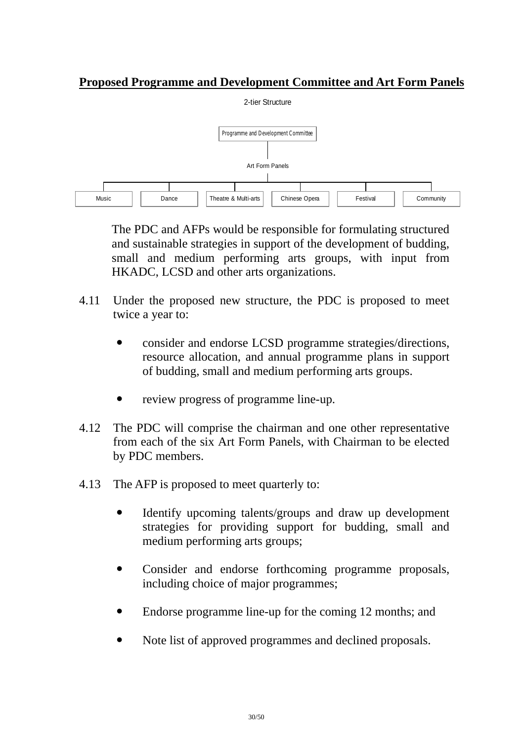# **Proposed Programme and Development Committee and Art Form Panels**



 The PDC and AFPs would be responsible for formulating structured and sustainable strategies in support of the development of budding, small and medium performing arts groups, with input from HKADC, LCSD and other arts organizations.

- 4.11 Under the proposed new structure, the PDC is proposed to meet twice a year to:
	- ! consider and endorse LCSD programme strategies/directions, resource allocation, and annual programme plans in support of budding, small and medium performing arts groups.
	- ! review progress of programme line-up.
- 4.12 The PDC will comprise the chairman and one other representative from each of the six Art Form Panels, with Chairman to be elected by PDC members.
- 4.13 The AFP is proposed to meet quarterly to:
	- Identify upcoming talents/groups and draw up development strategies for providing support for budding, small and medium performing arts groups;
	- ! Consider and endorse forthcoming programme proposals, including choice of major programmes;
	- Endorse programme line-up for the coming 12 months; and
	- Note list of approved programmes and declined proposals.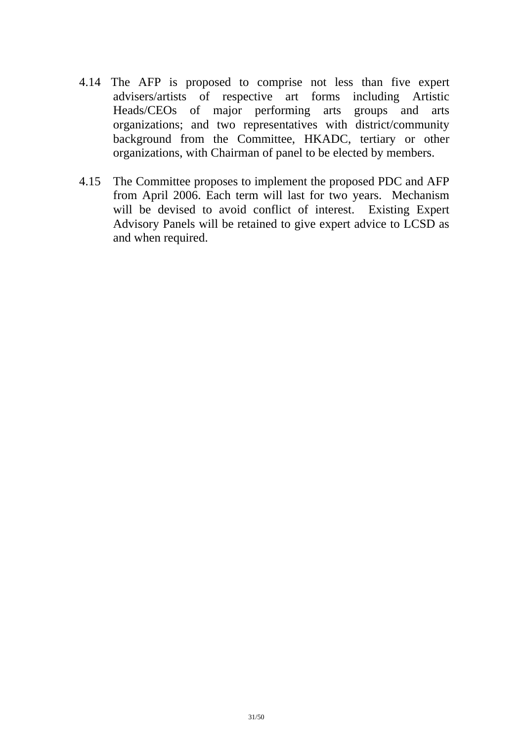- 4.14 The AFP is proposed to comprise not less than five expert advisers/artists of respective art forms including Artistic Heads/CEOs of major performing arts groups and arts organizations; and two representatives with district/community background from the Committee, HKADC, tertiary or other organizations, with Chairman of panel to be elected by members.
- 4.15 The Committee proposes to implement the proposed PDC and AFP from April 2006. Each term will last for two years. Mechanism will be devised to avoid conflict of interest. Existing Expert Advisory Panels will be retained to give expert advice to LCSD as and when required.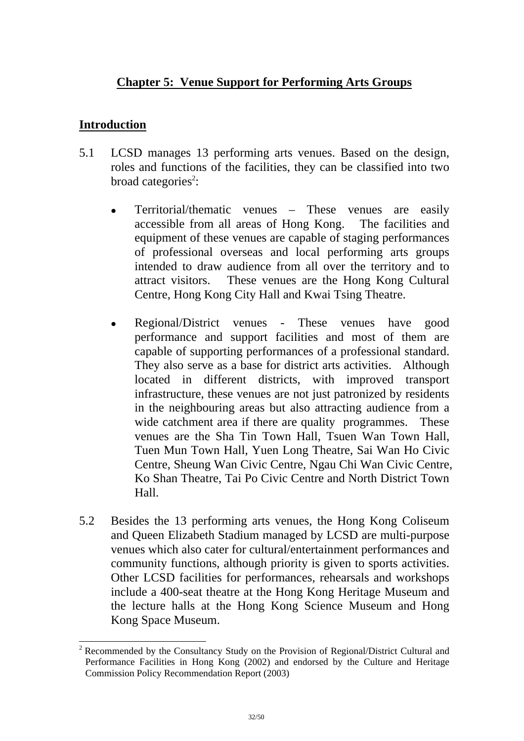# **Chapter 5: Venue Support for Performing Arts Groups**

#### **Introduction**

l

- 5.1 LCSD manages 13 performing arts venues. Based on the design, roles and functions of the facilities, they can be classified into two broad categories<sup>2</sup>:
	- ! Territorial/thematic venues These venues are easily accessible from all areas of Hong Kong. The facilities and equipment of these venues are capable of staging performances of professional overseas and local performing arts groups intended to draw audience from all over the territory and to attract visitors. These venues are the Hong Kong Cultural Centre, Hong Kong City Hall and Kwai Tsing Theatre.
	- Regional/District venues These venues have good performance and support facilities and most of them are capable of supporting performances of a professional standard. They also serve as a base for district arts activities. Although located in different districts, with improved transport infrastructure, these venues are not just patronized by residents in the neighbouring areas but also attracting audience from a wide catchment area if there are quality programmes. These venues are the Sha Tin Town Hall, Tsuen Wan Town Hall, Tuen Mun Town Hall, Yuen Long Theatre, Sai Wan Ho Civic Centre, Sheung Wan Civic Centre, Ngau Chi Wan Civic Centre, Ko Shan Theatre, Tai Po Civic Centre and North District Town Hall.
- 5.2 Besides the 13 performing arts venues, the Hong Kong Coliseum and Queen Elizabeth Stadium managed by LCSD are multi-purpose venues which also cater for cultural/entertainment performances and community functions, although priority is given to sports activities. Other LCSD facilities for performances, rehearsals and workshops include a 400-seat theatre at the Hong Kong Heritage Museum and the lecture halls at the Hong Kong Science Museum and Hong Kong Space Museum.

<sup>&</sup>lt;sup>2</sup> Recommended by the Consultancy Study on the Provision of Regional/District Cultural and Performance Facilities in Hong Kong (2002) and endorsed by the Culture and Heritage Commission Policy Recommendation Report (2003)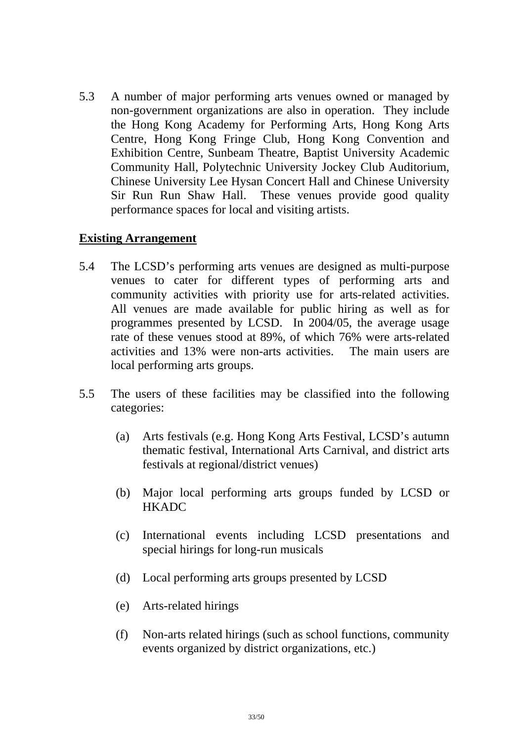5.3 A number of major performing arts venues owned or managed by non-government organizations are also in operation. They include the Hong Kong Academy for Performing Arts, Hong Kong Arts Centre, Hong Kong Fringe Club, Hong Kong Convention and Exhibition Centre, Sunbeam Theatre, Baptist University Academic Community Hall, Polytechnic University Jockey Club Auditorium, Chinese University Lee Hysan Concert Hall and Chinese University Sir Run Run Shaw Hall. These venues provide good quality performance spaces for local and visiting artists.

#### **Existing Arrangement**

- 5.4 The LCSD's performing arts venues are designed as multi-purpose venues to cater for different types of performing arts and community activities with priority use for arts-related activities. All venues are made available for public hiring as well as for programmes presented by LCSD. In 2004/05, the average usage rate of these venues stood at 89%, of which 76% were arts-related activities and 13% were non-arts activities. The main users are local performing arts groups.
- 5.5 The users of these facilities may be classified into the following categories:
	- (a) Arts festivals (e.g. Hong Kong Arts Festival, LCSD's autumn thematic festival, International Arts Carnival, and district arts festivals at regional/district venues)
	- (b) Major local performing arts groups funded by LCSD or **HKADC**
	- (c) International events including LCSD presentations and special hirings for long-run musicals
	- (d) Local performing arts groups presented by LCSD
	- (e) Arts-related hirings
	- (f) Non-arts related hirings (such as school functions, community events organized by district organizations, etc.)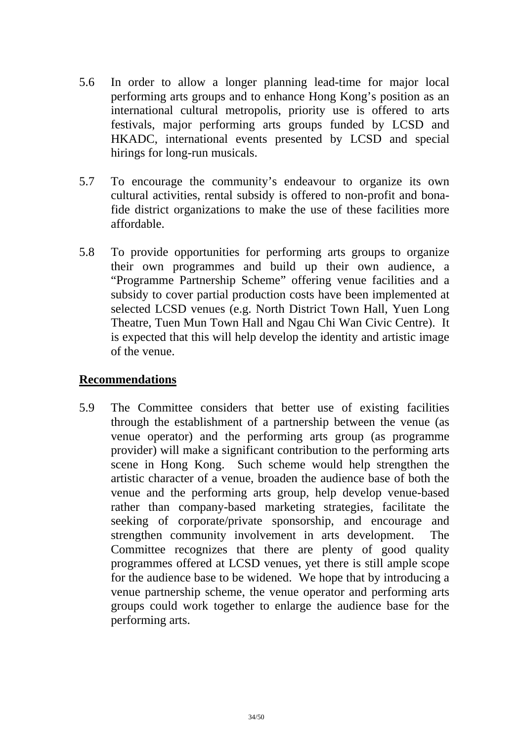- 5.6 In order to allow a longer planning lead-time for major local performing arts groups and to enhance Hong Kong's position as an international cultural metropolis, priority use is offered to arts festivals, major performing arts groups funded by LCSD and HKADC, international events presented by LCSD and special hirings for long-run musicals.
- 5.7 To encourage the community's endeavour to organize its own cultural activities, rental subsidy is offered to non-profit and bonafide district organizations to make the use of these facilities more affordable.
- 5.8 To provide opportunities for performing arts groups to organize their own programmes and build up their own audience, a "Programme Partnership Scheme" offering venue facilities and a subsidy to cover partial production costs have been implemented at selected LCSD venues (e.g. North District Town Hall, Yuen Long Theatre, Tuen Mun Town Hall and Ngau Chi Wan Civic Centre). It is expected that this will help develop the identity and artistic image of the venue.

#### **Recommendations**

5.9 The Committee considers that better use of existing facilities through the establishment of a partnership between the venue (as venue operator) and the performing arts group (as programme provider) will make a significant contribution to the performing arts scene in Hong Kong. Such scheme would help strengthen the artistic character of a venue, broaden the audience base of both the venue and the performing arts group, help develop venue-based rather than company-based marketing strategies, facilitate the seeking of corporate/private sponsorship, and encourage and strengthen community involvement in arts development. The Committee recognizes that there are plenty of good quality programmes offered at LCSD venues, yet there is still ample scope for the audience base to be widened. We hope that by introducing a venue partnership scheme, the venue operator and performing arts groups could work together to enlarge the audience base for the performing arts.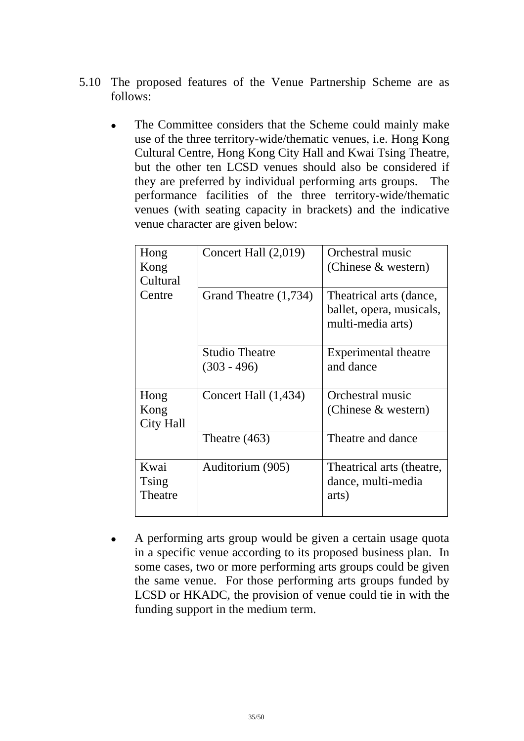- 5.10 The proposed features of the Venue Partnership Scheme are as follows:
	- The Committee considers that the Scheme could mainly make use of the three territory-wide/thematic venues, i.e. Hong Kong Cultural Centre, Hong Kong City Hall and Kwai Tsing Theatre, but the other ten LCSD venues should also be considered if they are preferred by individual performing arts groups. The performance facilities of the three territory-wide/thematic venues (with seating capacity in brackets) and the indicative venue character are given below:

| Hong<br>Kong<br>Cultural  | Concert Hall $(2,019)$                 | Orchestral music<br>(Chinese & western)                                  |
|---------------------------|----------------------------------------|--------------------------------------------------------------------------|
| Centre                    | Grand Theatre (1,734)                  | Theatrical arts (dance,<br>ballet, opera, musicals,<br>multi-media arts) |
|                           | <b>Studio Theatre</b><br>$(303 - 496)$ | Experimental theatre<br>and dance                                        |
| Hong<br>Kong<br>City Hall | Concert Hall $(1,434)$                 | Orchestral music<br>(Chinese & western)                                  |
|                           | Theatre $(463)$                        | Theatre and dance                                                        |
| Kwai<br>Tsing<br>Theatre  | Auditorium (905)                       | Theatrical arts (theatre,<br>dance, multi-media<br>arts)                 |

! A performing arts group would be given a certain usage quota in a specific venue according to its proposed business plan. In some cases, two or more performing arts groups could be given the same venue. For those performing arts groups funded by LCSD or HKADC, the provision of venue could tie in with the funding support in the medium term.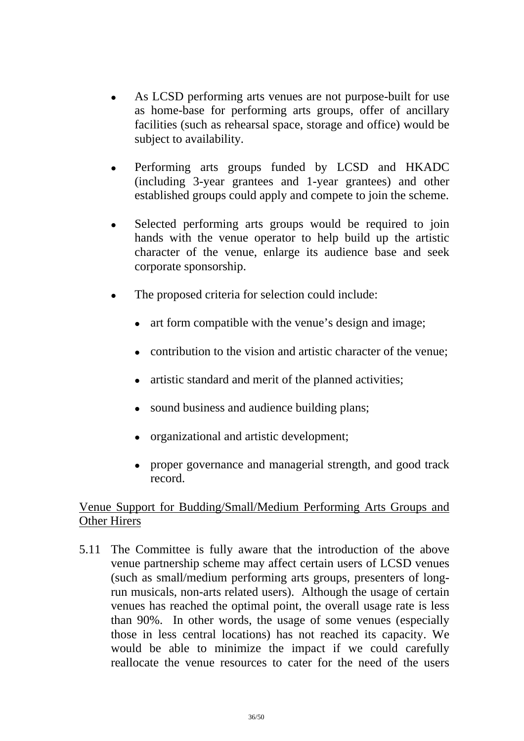- As LCSD performing arts venues are not purpose-built for use as home-base for performing arts groups, offer of ancillary facilities (such as rehearsal space, storage and office) would be subject to availability.
- ! Performing arts groups funded by LCSD and HKADC (including 3-year grantees and 1-year grantees) and other established groups could apply and compete to join the scheme.
- Selected performing arts groups would be required to join hands with the venue operator to help build up the artistic character of the venue, enlarge its audience base and seek corporate sponsorship.
- The proposed criteria for selection could include:
	- art form compatible with the venue's design and image;
	- contribution to the vision and artistic character of the venue:
	- artistic standard and merit of the planned activities;
	- sound business and audience building plans;
	- organizational and artistic development;
	- proper governance and managerial strength, and good track record.

# Venue Support for Budding/Small/Medium Performing Arts Groups and Other Hirers

5.11 The Committee is fully aware that the introduction of the above venue partnership scheme may affect certain users of LCSD venues (such as small/medium performing arts groups, presenters of longrun musicals, non-arts related users). Although the usage of certain venues has reached the optimal point, the overall usage rate is less than 90%. In other words, the usage of some venues (especially those in less central locations) has not reached its capacity. We would be able to minimize the impact if we could carefully reallocate the venue resources to cater for the need of the users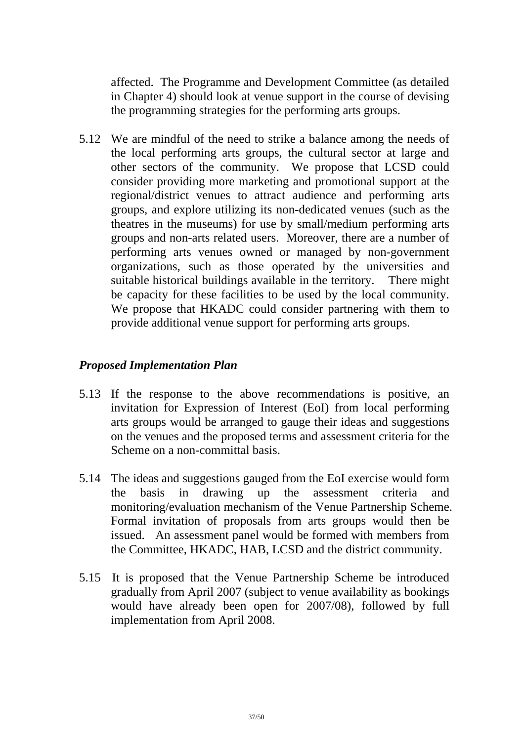affected. The Programme and Development Committee (as detailed in Chapter 4) should look at venue support in the course of devising the programming strategies for the performing arts groups.

5.12 We are mindful of the need to strike a balance among the needs of the local performing arts groups, the cultural sector at large and other sectors of the community. We propose that LCSD could consider providing more marketing and promotional support at the regional/district venues to attract audience and performing arts groups, and explore utilizing its non-dedicated venues (such as the theatres in the museums) for use by small/medium performing arts groups and non-arts related users. Moreover, there are a number of performing arts venues owned or managed by non-government organizations, such as those operated by the universities and suitable historical buildings available in the territory. There might be capacity for these facilities to be used by the local community. We propose that HKADC could consider partnering with them to provide additional venue support for performing arts groups.

# *Proposed Implementation Plan*

- 5.13 If the response to the above recommendations is positive, an invitation for Expression of Interest (EoI) from local performing arts groups would be arranged to gauge their ideas and suggestions on the venues and the proposed terms and assessment criteria for the Scheme on a non-committal basis.
- 5.14 The ideas and suggestions gauged from the EoI exercise would form the basis in drawing up the assessment criteria and monitoring/evaluation mechanism of the Venue Partnership Scheme. Formal invitation of proposals from arts groups would then be issued. An assessment panel would be formed with members from the Committee, HKADC, HAB, LCSD and the district community.
- 5.15 It is proposed that the Venue Partnership Scheme be introduced gradually from April 2007 (subject to venue availability as bookings would have already been open for 2007/08), followed by full implementation from April 2008.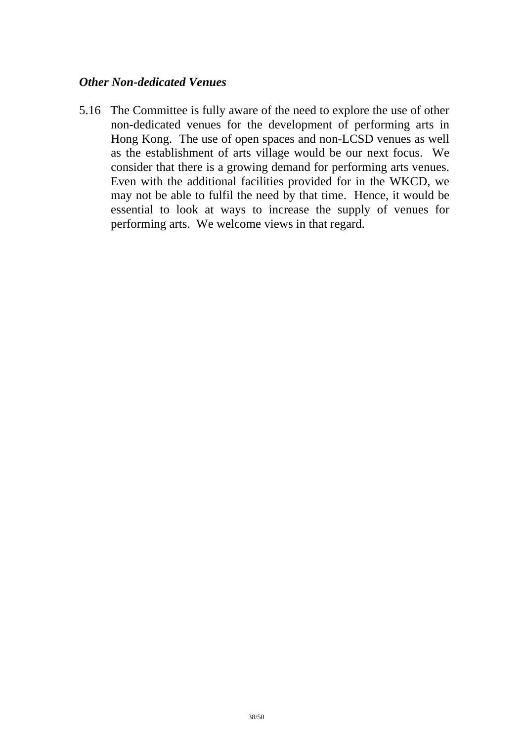#### *Other Non-dedicated Venues*

5.16 The Committee is fully aware of the need to explore the use of other non-dedicated venues for the development of performing arts in Hong Kong. The use of open spaces and non-LCSD venues as well as the establishment of arts village would be our next focus. We consider that there is a growing demand for performing arts venues. Even with the additional facilities provided for in the WKCD, we may not be able to fulfil the need by that time. Hence, it would be essential to look at ways to increase the supply of venues for performing arts. We welcome views in that regard.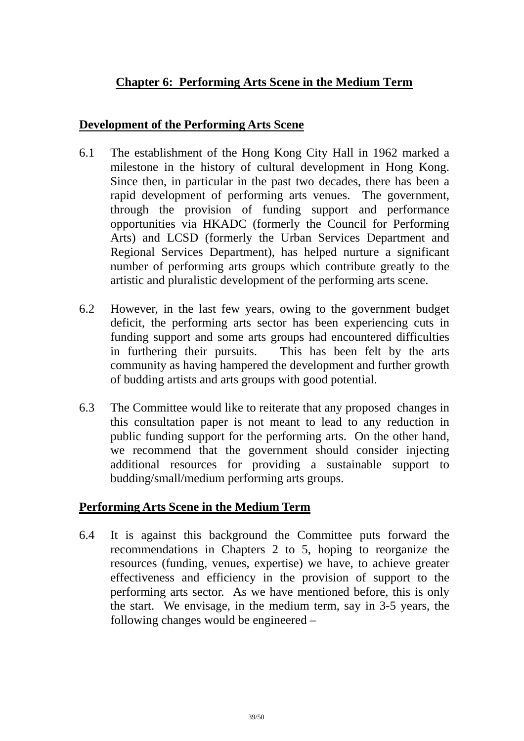# **Chapter 6: Performing Arts Scene in the Medium Term**

#### **Development of the Performing Arts Scene**

- 6.1 The establishment of the Hong Kong City Hall in 1962 marked a milestone in the history of cultural development in Hong Kong. Since then, in particular in the past two decades, there has been a rapid development of performing arts venues. The government, through the provision of funding support and performance opportunities via HKADC (formerly the Council for Performing Arts) and LCSD (formerly the Urban Services Department and Regional Services Department), has helped nurture a significant number of performing arts groups which contribute greatly to the artistic and pluralistic development of the performing arts scene.
- 6.2 However, in the last few years, owing to the government budget deficit, the performing arts sector has been experiencing cuts in funding support and some arts groups had encountered difficulties in furthering their pursuits. This has been felt by the arts community as having hampered the development and further growth of budding artists and arts groups with good potential.
- 6.3 The Committee would like to reiterate that any proposed changes in this consultation paper is not meant to lead to any reduction in public funding support for the performing arts. On the other hand, we recommend that the government should consider injecting additional resources for providing a sustainable support to budding/small/medium performing arts groups.

# **Performing Arts Scene in the Medium Term**

6.4 It is against this background the Committee puts forward the recommendations in Chapters 2 to 5, hoping to reorganize the resources (funding, venues, expertise) we have, to achieve greater effectiveness and efficiency in the provision of support to the performing arts sector. As we have mentioned before, this is only the start. We envisage, in the medium term, say in 3-5 years, the following changes would be engineered –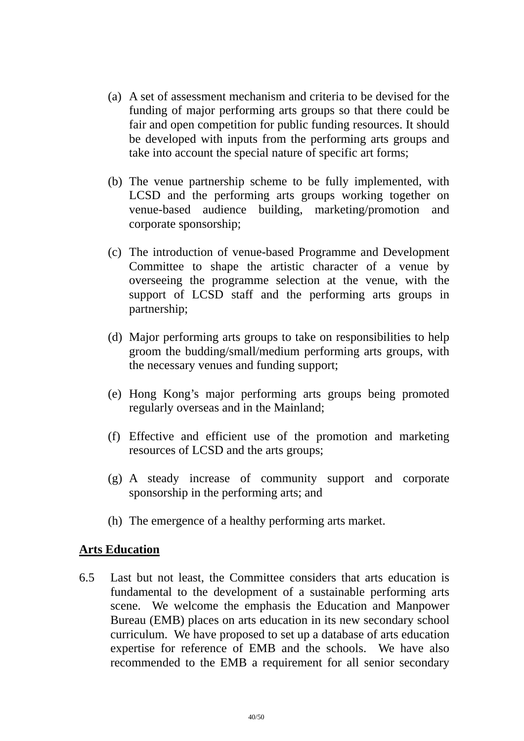- (a) A set of assessment mechanism and criteria to be devised for the funding of major performing arts groups so that there could be fair and open competition for public funding resources. It should be developed with inputs from the performing arts groups and take into account the special nature of specific art forms;
- (b) The venue partnership scheme to be fully implemented, with LCSD and the performing arts groups working together on venue-based audience building, marketing/promotion and corporate sponsorship;
- (c) The introduction of venue-based Programme and Development Committee to shape the artistic character of a venue by overseeing the programme selection at the venue, with the support of LCSD staff and the performing arts groups in partnership;
- (d) Major performing arts groups to take on responsibilities to help groom the budding/small/medium performing arts groups, with the necessary venues and funding support;
- (e) Hong Kong's major performing arts groups being promoted regularly overseas and in the Mainland;
- (f) Effective and efficient use of the promotion and marketing resources of LCSD and the arts groups;
- (g) A steady increase of community support and corporate sponsorship in the performing arts; and
- (h) The emergence of a healthy performing arts market.

#### **Arts Education**

6.5 Last but not least, the Committee considers that arts education is fundamental to the development of a sustainable performing arts scene. We welcome the emphasis the Education and Manpower Bureau (EMB) places on arts education in its new secondary school curriculum. We have proposed to set up a database of arts education expertise for reference of EMB and the schools. We have also recommended to the EMB a requirement for all senior secondary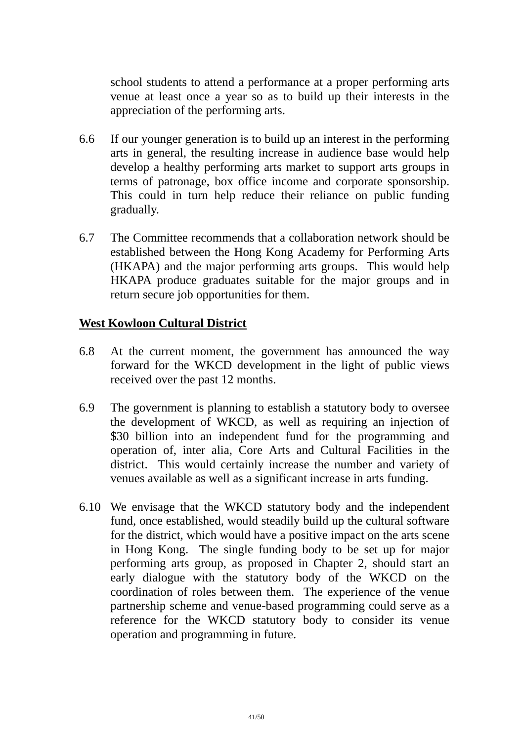school students to attend a performance at a proper performing arts venue at least once a year so as to build up their interests in the appreciation of the performing arts.

- 6.6 If our younger generation is to build up an interest in the performing arts in general, the resulting increase in audience base would help develop a healthy performing arts market to support arts groups in terms of patronage, box office income and corporate sponsorship. This could in turn help reduce their reliance on public funding gradually.
- 6.7 The Committee recommends that a collaboration network should be established between the Hong Kong Academy for Performing Arts (HKAPA) and the major performing arts groups. This would help HKAPA produce graduates suitable for the major groups and in return secure job opportunities for them.

# **West Kowloon Cultural District**

- 6.8 At the current moment, the government has announced the way forward for the WKCD development in the light of public views received over the past 12 months.
- 6.9 The government is planning to establish a statutory body to oversee the development of WKCD, as well as requiring an injection of \$30 billion into an independent fund for the programming and operation of, inter alia, Core Arts and Cultural Facilities in the district. This would certainly increase the number and variety of venues available as well as a significant increase in arts funding.
- 6.10 We envisage that the WKCD statutory body and the independent fund, once established, would steadily build up the cultural software for the district, which would have a positive impact on the arts scene in Hong Kong. The single funding body to be set up for major performing arts group, as proposed in Chapter 2, should start an early dialogue with the statutory body of the WKCD on the coordination of roles between them. The experience of the venue partnership scheme and venue-based programming could serve as a reference for the WKCD statutory body to consider its venue operation and programming in future.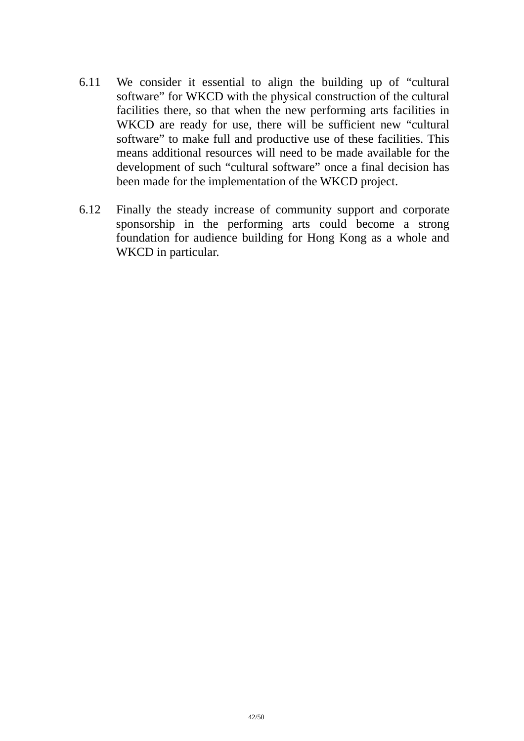- 6.11 We consider it essential to align the building up of "cultural software" for WKCD with the physical construction of the cultural facilities there, so that when the new performing arts facilities in WKCD are ready for use, there will be sufficient new "cultural" software" to make full and productive use of these facilities. This means additional resources will need to be made available for the development of such "cultural software" once a final decision has been made for the implementation of the WKCD project.
- 6.12 Finally the steady increase of community support and corporate sponsorship in the performing arts could become a strong foundation for audience building for Hong Kong as a whole and WKCD in particular.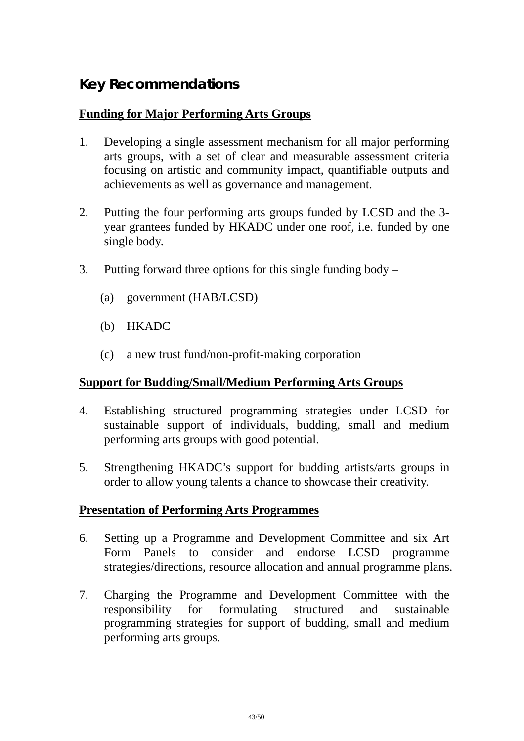# **Key Recommendations**

# **Funding for Major Performing Arts Groups**

- 1. Developing a single assessment mechanism for all major performing arts groups, with a set of clear and measurable assessment criteria focusing on artistic and community impact, quantifiable outputs and achievements as well as governance and management.
- 2. Putting the four performing arts groups funded by LCSD and the 3 year grantees funded by HKADC under one roof, i.e. funded by one single body.
- 3. Putting forward three options for this single funding body
	- (a) government (HAB/LCSD)
	- (b) HKADC
	- (c) a new trust fund/non-profit-making corporation

# **Support for Budding/Small/Medium Performing Arts Groups**

- 4. Establishing structured programming strategies under LCSD for sustainable support of individuals, budding, small and medium performing arts groups with good potential.
- 5. Strengthening HKADC's support for budding artists/arts groups in order to allow young talents a chance to showcase their creativity.

# **Presentation of Performing Arts Programmes**

- 6. Setting up a Programme and Development Committee and six Art Form Panels to consider and endorse LCSD programme strategies/directions, resource allocation and annual programme plans.
- 7. Charging the Programme and Development Committee with the responsibility for formulating structured and sustainable programming strategies for support of budding, small and medium performing arts groups.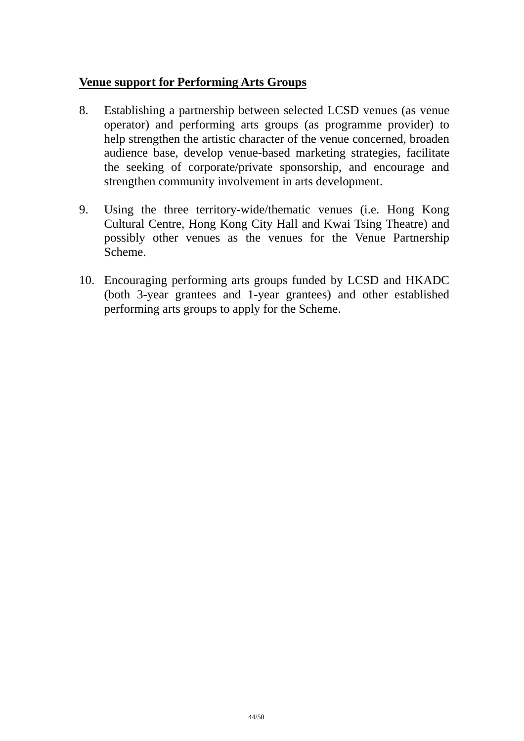#### **Venue support for Performing Arts Groups**

- 8. Establishing a partnership between selected LCSD venues (as venue operator) and performing arts groups (as programme provider) to help strengthen the artistic character of the venue concerned, broaden audience base, develop venue-based marketing strategies, facilitate the seeking of corporate/private sponsorship, and encourage and strengthen community involvement in arts development.
- 9. Using the three territory-wide/thematic venues (i.e. Hong Kong Cultural Centre, Hong Kong City Hall and Kwai Tsing Theatre) and possibly other venues as the venues for the Venue Partnership Scheme.
- 10. Encouraging performing arts groups funded by LCSD and HKADC (both 3-year grantees and 1-year grantees) and other established performing arts groups to apply for the Scheme.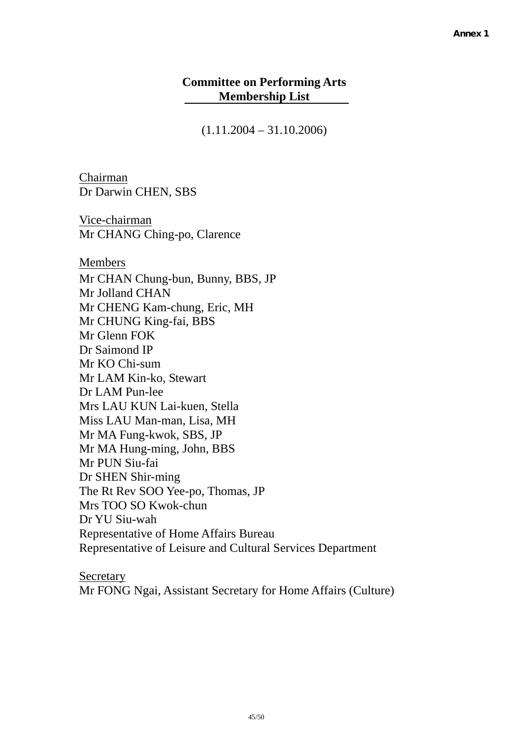#### **Committee on Performing Arts Membership List**

 $(1.11.2004 - 31.10.2006)$ 

Chairman Dr Darwin CHEN, SBS

Vice-chairman Mr CHANG Ching-po, Clarence

Members

Mr CHAN Chung-bun, Bunny, BBS, JP Mr Jolland CHAN Mr CHENG Kam-chung, Eric, MH Mr CHUNG King-fai, BBS Mr Glenn FOK Dr Saimond IP Mr KO Chi-sum Mr LAM Kin-ko, Stewart Dr LAM Pun-lee Mrs LAU KUN Lai-kuen, Stella Miss LAU Man-man, Lisa, MH Mr MA Fung-kwok, SBS, JP Mr MA Hung-ming, John, BBS Mr PUN Siu-fai Dr SHEN Shir-ming The Rt Rev SOO Yee-po, Thomas, JP Mrs TOO SO Kwok-chun Dr YU Siu-wah Representative of Home Affairs Bureau Representative of Leisure and Cultural Services Department

**Secretary** Mr FONG Ngai, Assistant Secretary for Home Affairs (Culture)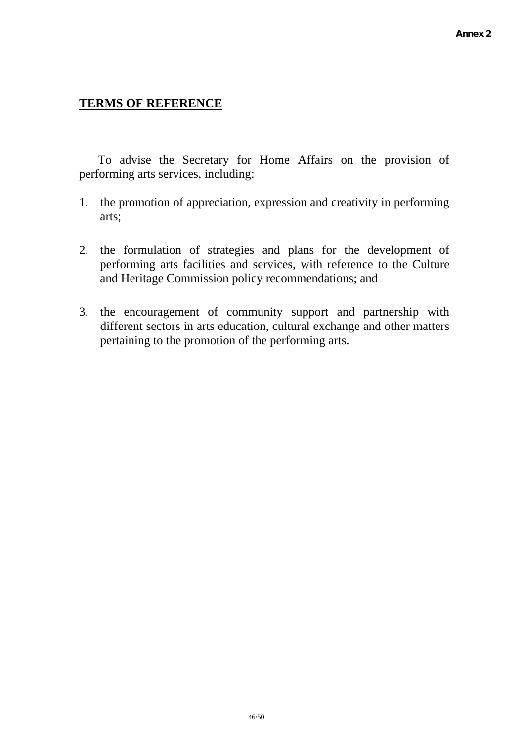#### **TERMS OF REFERENCE**

 To advise the Secretary for Home Affairs on the provision of performing arts services, including:

- 1. the promotion of appreciation, expression and creativity in performing arts;
- 2. the formulation of strategies and plans for the development of performing arts facilities and services, with reference to the Culture and Heritage Commission policy recommendations; and
- 3. the encouragement of community support and partnership with different sectors in arts education, cultural exchange and other matters pertaining to the promotion of the performing arts.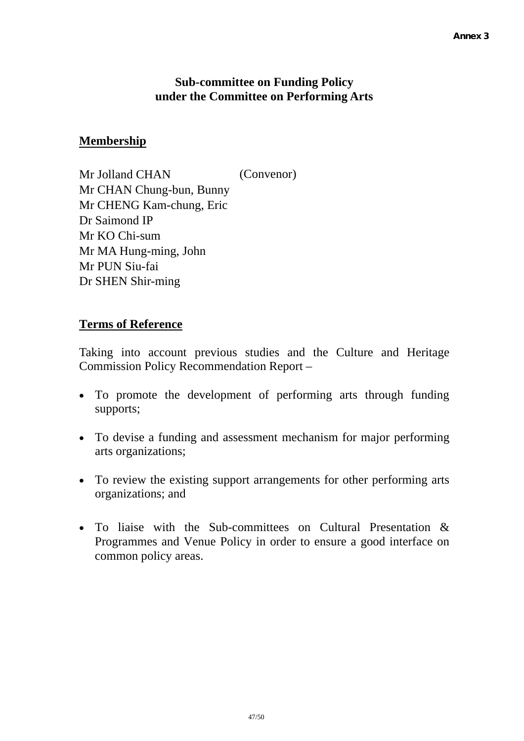#### **Sub-committee on Funding Policy under the Committee on Performing Arts**

# **Membership**

Mr Jolland CHAN (Convenor) Mr CHAN Chung-bun, Bunny Mr CHENG Kam-chung, Eric Dr Saimond IP Mr KO Chi-sum Mr MA Hung-ming, John Mr PUN Siu-fai Dr SHEN Shir-ming

#### **Terms of Reference**

Taking into account previous studies and the Culture and Heritage Commission Policy Recommendation Report –

- To promote the development of performing arts through funding supports;
- To devise a funding and assessment mechanism for major performing arts organizations;
- To review the existing support arrangements for other performing arts organizations; and
- To liaise with the Sub-committees on Cultural Presentation & Programmes and Venue Policy in order to ensure a good interface on common policy areas.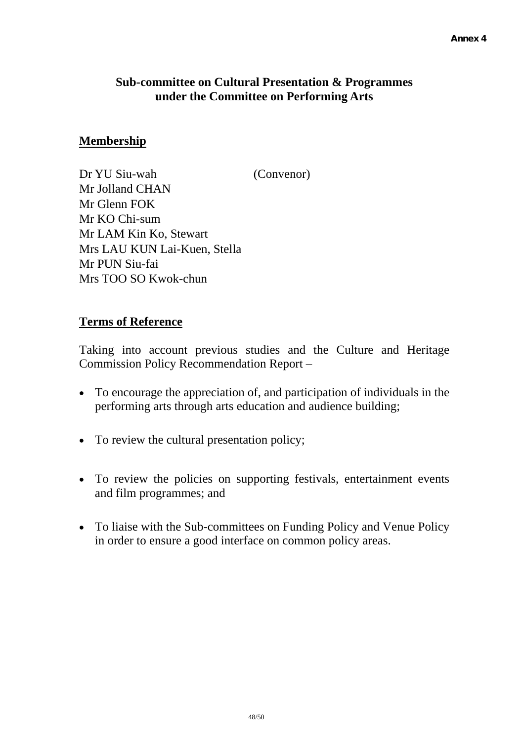# **Sub-committee on Cultural Presentation & Programmes under the Committee on Performing Arts**

# **Membership**

Dr YU Siu-wah (Convenor) Mr Jolland CHAN Mr Glenn FOK Mr KO Chi-sum Mr LAM Kin Ko, Stewart Mrs LAU KUN Lai-Kuen, Stella Mr PUN Siu-fai Mrs TOO SO Kwok-chun

#### **Terms of Reference**

Taking into account previous studies and the Culture and Heritage Commission Policy Recommendation Report –

- To encourage the appreciation of, and participation of individuals in the performing arts through arts education and audience building;
- To review the cultural presentation policy;
- To review the policies on supporting festivals, entertainment events and film programmes; and
- To liaise with the Sub-committees on Funding Policy and Venue Policy in order to ensure a good interface on common policy areas.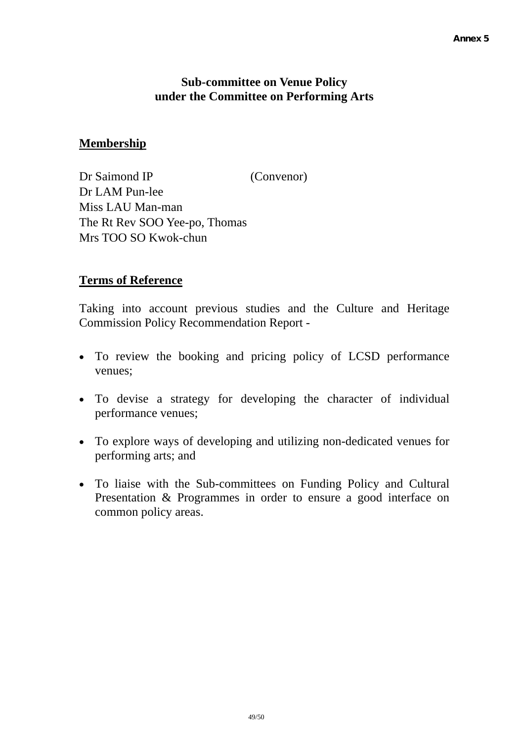#### **Sub-committee on Venue Policy under the Committee on Performing Arts**

# **Membership**

Dr Saimond IP (Convenor) Dr LAM Pun-lee Miss LAU Man-man The Rt Rev SOO Yee-po, Thomas Mrs TOO SO Kwok-chun

#### **Terms of Reference**

Taking into account previous studies and the Culture and Heritage Commission Policy Recommendation Report -

- To review the booking and pricing policy of LCSD performance venues;
- To devise a strategy for developing the character of individual performance venues;
- To explore ways of developing and utilizing non-dedicated venues for performing arts; and
- To liaise with the Sub-committees on Funding Policy and Cultural Presentation & Programmes in order to ensure a good interface on common policy areas.